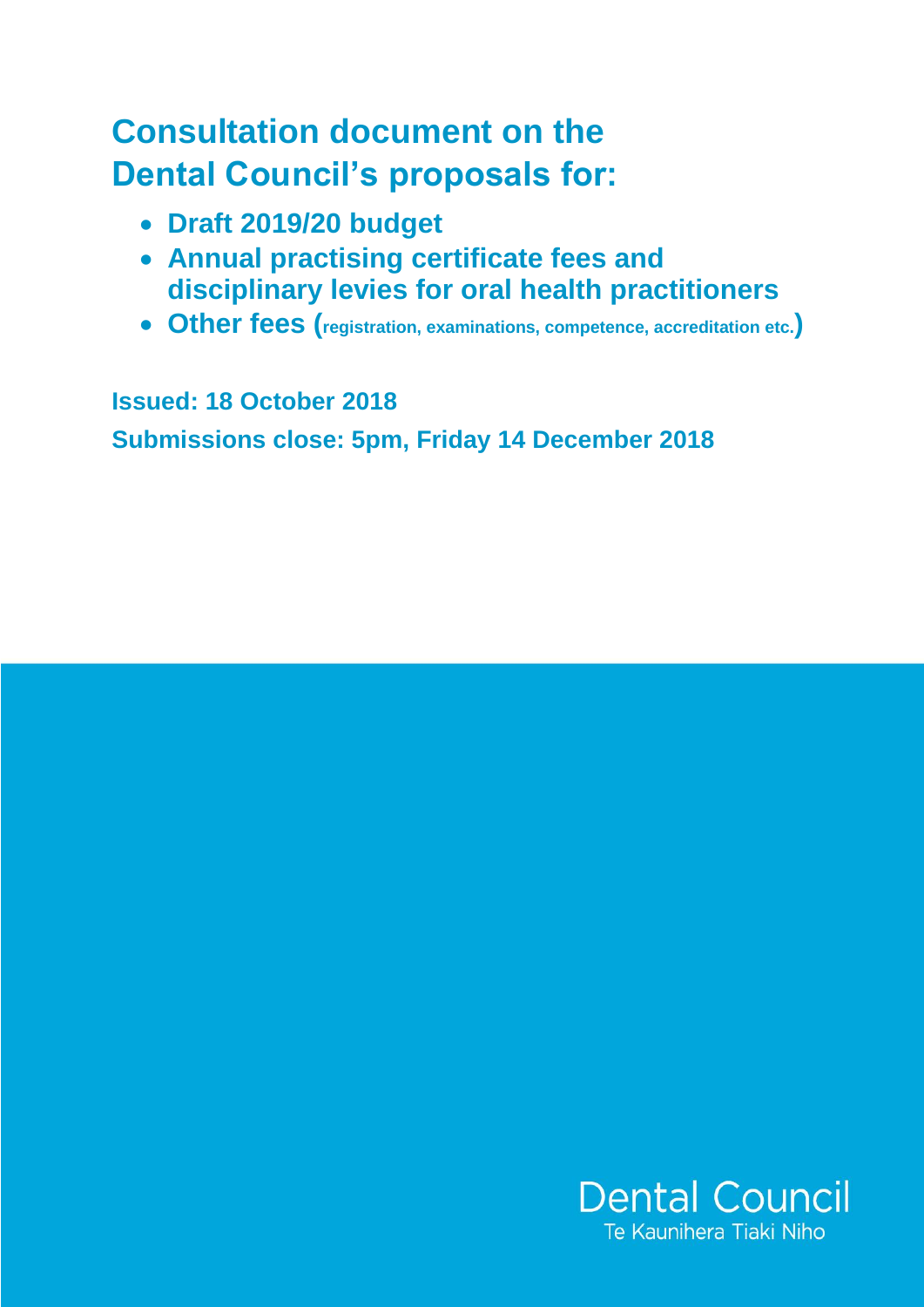# **Consultation document on the Dental Council's proposals for:**

- **Draft 2019/20 budget**
- **Annual practising certificate fees and disciplinary levies for oral health practitioners**
- **Other fees (registration, examinations, competence, accreditation etc.)**

**Issued: 18 October 2018 Submissions close: 5pm, Friday 14 December 2018**

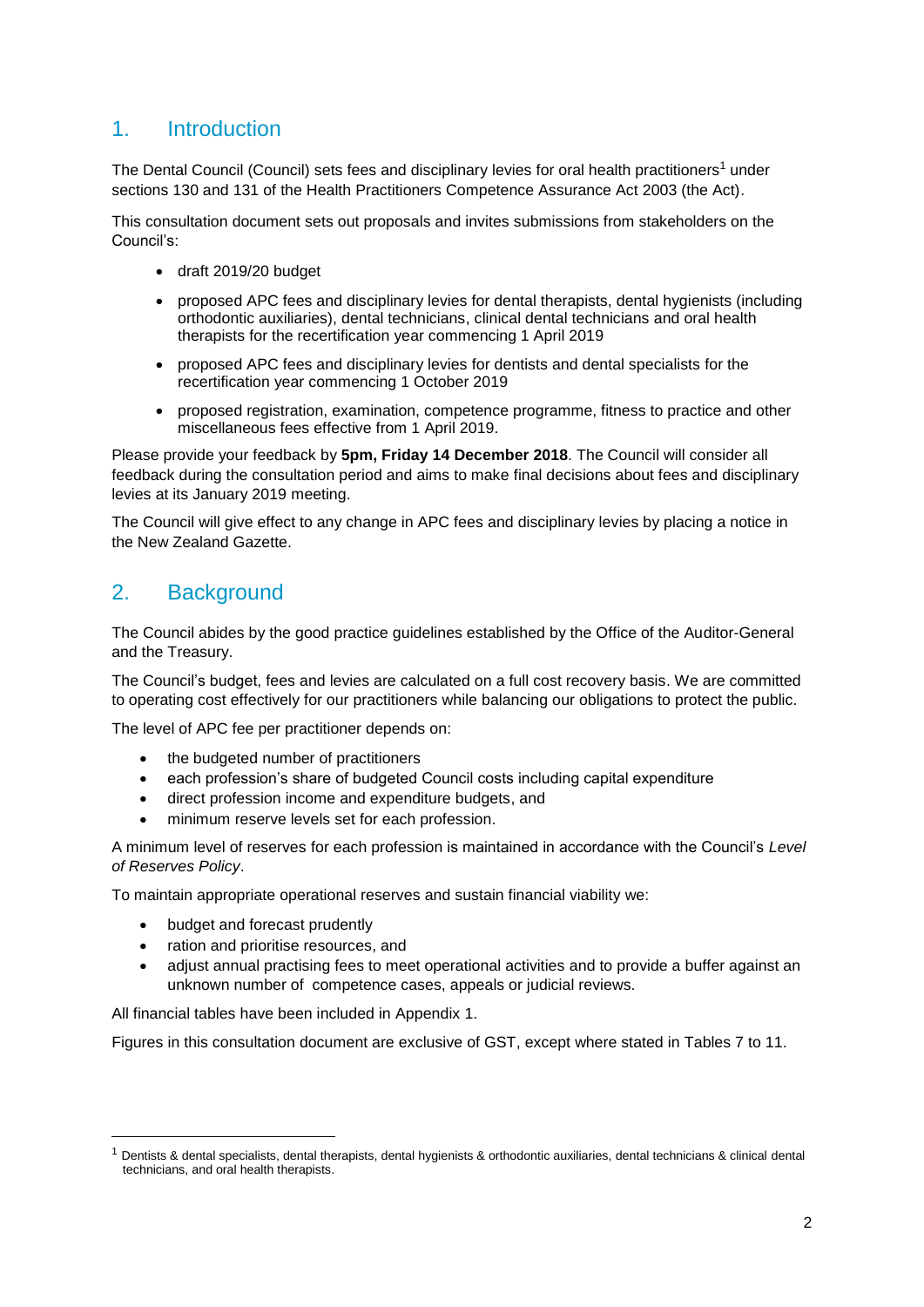# 1. Introduction

The Dental Council (Council) sets fees and disciplinary levies for oral health practitioners<sup>1</sup> under sections 130 and 131 of the Health Practitioners Competence Assurance Act 2003 (the Act).

This consultation document sets out proposals and invites submissions from stakeholders on the Council's:

- draft 2019/20 budget
- proposed APC fees and disciplinary levies for dental therapists, dental hygienists (including orthodontic auxiliaries), dental technicians, clinical dental technicians and oral health therapists for the recertification year commencing 1 April 2019
- proposed APC fees and disciplinary levies for dentists and dental specialists for the recertification year commencing 1 October 2019
- proposed registration, examination, competence programme, fitness to practice and other miscellaneous fees effective from 1 April 2019.

Please provide your feedback by **5pm, Friday 14 December 2018**. The Council will consider all feedback during the consultation period and aims to make final decisions about fees and disciplinary levies at its January 2019 meeting.

The Council will give effect to any change in APC fees and disciplinary levies by placing a notice in the New Zealand Gazette.

# 2. Background

The Council abides by the good practice guidelines established by the Office of the Auditor-General and the Treasury.

The Council's budget, fees and levies are calculated on a full cost recovery basis. We are committed to operating cost effectively for our practitioners while balancing our obligations to protect the public.

The level of APC fee per practitioner depends on:

- the budgeted number of practitioners
- each profession's share of budgeted Council costs including capital expenditure
- direct profession income and expenditure budgets, and
- minimum reserve levels set for each profession.

A minimum level of reserves for each profession is maintained in accordance with the Council's *Level of Reserves Policy*.

To maintain appropriate operational reserves and sustain financial viability we:

budget and forecast prudently

**.** 

- ration and prioritise resources, and
- adjust annual practising fees to meet operational activities and to provide a buffer against an unknown number of competence cases, appeals or judicial reviews.

All financial tables have been included in Appendix 1.

Figures in this consultation document are exclusive of GST, except where stated in Tables 7 to 11.

 $1$  Dentists & dental specialists, dental therapists, dental hygienists & orthodontic auxiliaries, dental technicians & clinical dental technicians, and oral health therapists.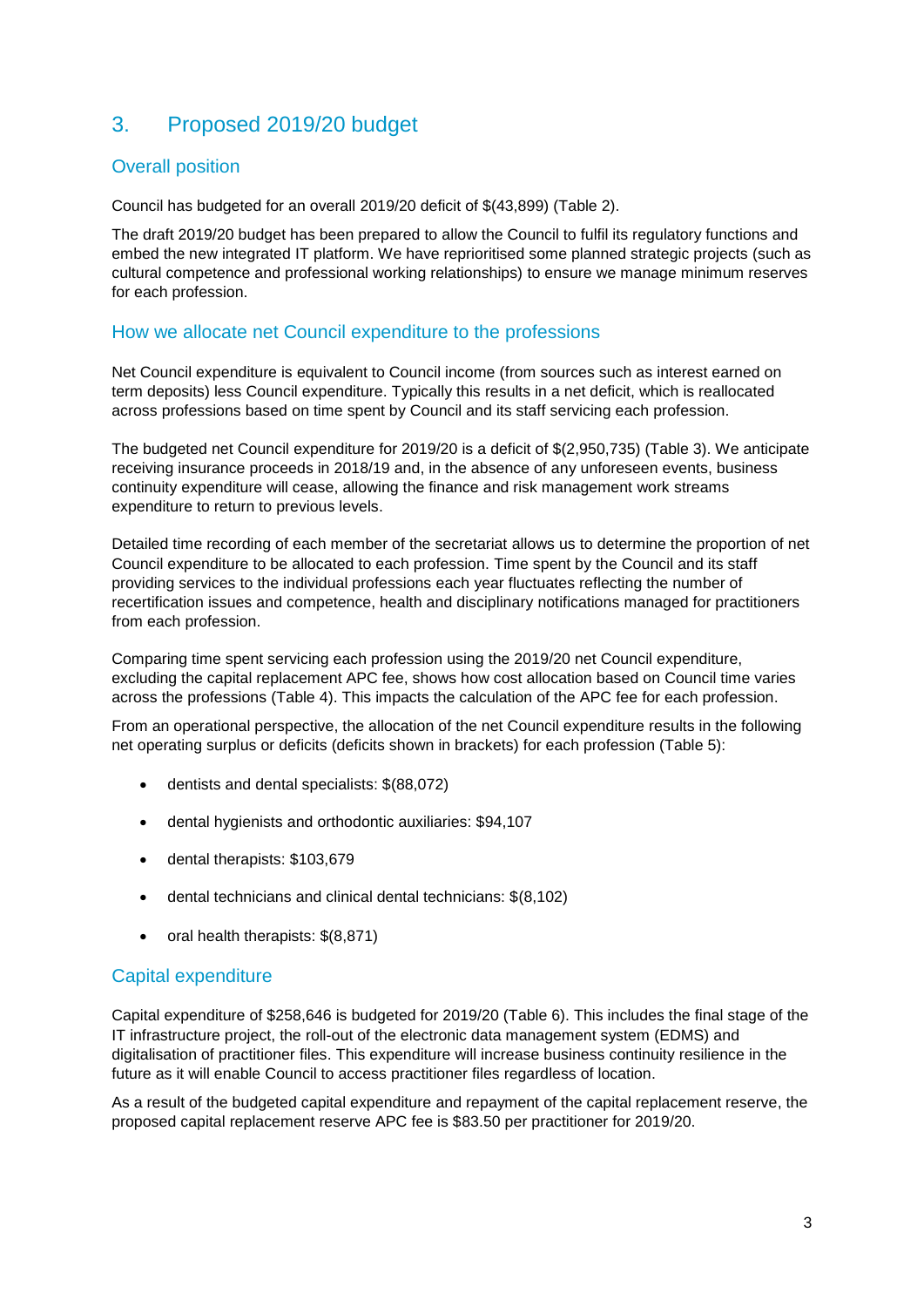# 3. Proposed 2019/20 budget

### Overall position

Council has budgeted for an overall 2019/20 deficit of \$(43,899) (Table 2).

The draft 2019/20 budget has been prepared to allow the Council to fulfil its regulatory functions and embed the new integrated IT platform. We have reprioritised some planned strategic projects (such as cultural competence and professional working relationships) to ensure we manage minimum reserves for each profession.

### How we allocate net Council expenditure to the professions

Net Council expenditure is equivalent to Council income (from sources such as interest earned on term deposits) less Council expenditure. Typically this results in a net deficit, which is reallocated across professions based on time spent by Council and its staff servicing each profession.

The budgeted net Council expenditure for 2019/20 is a deficit of \$(2,950,735) (Table 3). We anticipate receiving insurance proceeds in 2018/19 and, in the absence of any unforeseen events, business continuity expenditure will cease, allowing the finance and risk management work streams expenditure to return to previous levels.

Detailed time recording of each member of the secretariat allows us to determine the proportion of net Council expenditure to be allocated to each profession. Time spent by the Council and its staff providing services to the individual professions each year fluctuates reflecting the number of recertification issues and competence, health and disciplinary notifications managed for practitioners from each profession.

Comparing time spent servicing each profession using the 2019/20 net Council expenditure, excluding the capital replacement APC fee, shows how cost allocation based on Council time varies across the professions (Table 4). This impacts the calculation of the APC fee for each profession.

From an operational perspective, the allocation of the net Council expenditure results in the following net operating surplus or deficits (deficits shown in brackets) for each profession (Table 5):

- dentists and dental specialists: \$(88,072)
- dental hygienists and orthodontic auxiliaries: \$94,107
- dental therapists: \$103,679
- dental technicians and clinical dental technicians: \$(8,102)
- oral health therapists: \$(8,871)

#### Capital expenditure

Capital expenditure of \$258,646 is budgeted for 2019/20 (Table 6). This includes the final stage of the IT infrastructure project, the roll-out of the electronic data management system (EDMS) and digitalisation of practitioner files. This expenditure will increase business continuity resilience in the future as it will enable Council to access practitioner files regardless of location.

As a result of the budgeted capital expenditure and repayment of the capital replacement reserve, the proposed capital replacement reserve APC fee is \$83.50 per practitioner for 2019/20.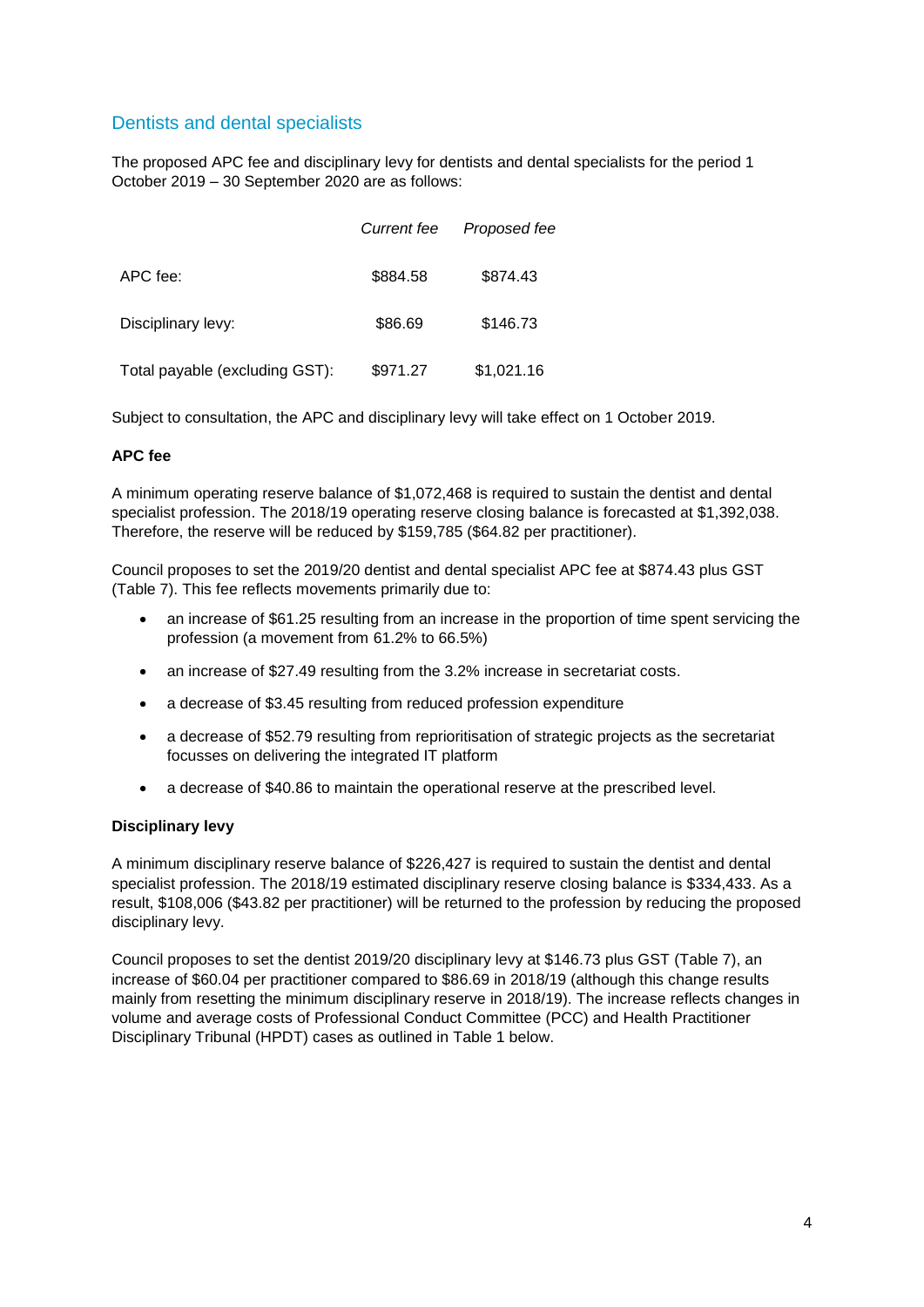### Dentists and dental specialists

The proposed APC fee and disciplinary levy for dentists and dental specialists for the period 1 October 2019 – 30 September 2020 are as follows:

|                                | Current fee | Proposed fee |
|--------------------------------|-------------|--------------|
| APC fee:                       | \$884.58    | \$874.43     |
| Disciplinary levy:             | \$86.69     | \$146.73     |
| Total payable (excluding GST): | \$971.27    | \$1,021.16   |

Subject to consultation, the APC and disciplinary levy will take effect on 1 October 2019.

#### **APC fee**

A minimum operating reserve balance of \$1,072,468 is required to sustain the dentist and dental specialist profession. The 2018/19 operating reserve closing balance is forecasted at \$1,392,038. Therefore, the reserve will be reduced by \$159,785 (\$64.82 per practitioner).

Council proposes to set the 2019/20 dentist and dental specialist APC fee at \$874.43 plus GST (Table 7). This fee reflects movements primarily due to:

- an increase of \$61.25 resulting from an increase in the proportion of time spent servicing the profession (a movement from 61.2% to 66.5%)
- an increase of \$27.49 resulting from the 3.2% increase in secretariat costs.
- a decrease of \$3.45 resulting from reduced profession expenditure
- a decrease of \$52.79 resulting from reprioritisation of strategic projects as the secretariat focusses on delivering the integrated IT platform
- a decrease of \$40.86 to maintain the operational reserve at the prescribed level.

#### **Disciplinary levy**

A minimum disciplinary reserve balance of \$226,427 is required to sustain the dentist and dental specialist profession. The 2018/19 estimated disciplinary reserve closing balance is \$334,433. As a result, \$108,006 (\$43.82 per practitioner) will be returned to the profession by reducing the proposed disciplinary levy.

Council proposes to set the dentist 2019/20 disciplinary levy at \$146.73 plus GST (Table 7), an increase of \$60.04 per practitioner compared to \$86.69 in 2018/19 (although this change results mainly from resetting the minimum disciplinary reserve in 2018/19). The increase reflects changes in volume and average costs of Professional Conduct Committee (PCC) and Health Practitioner Disciplinary Tribunal (HPDT) cases as outlined in Table 1 below.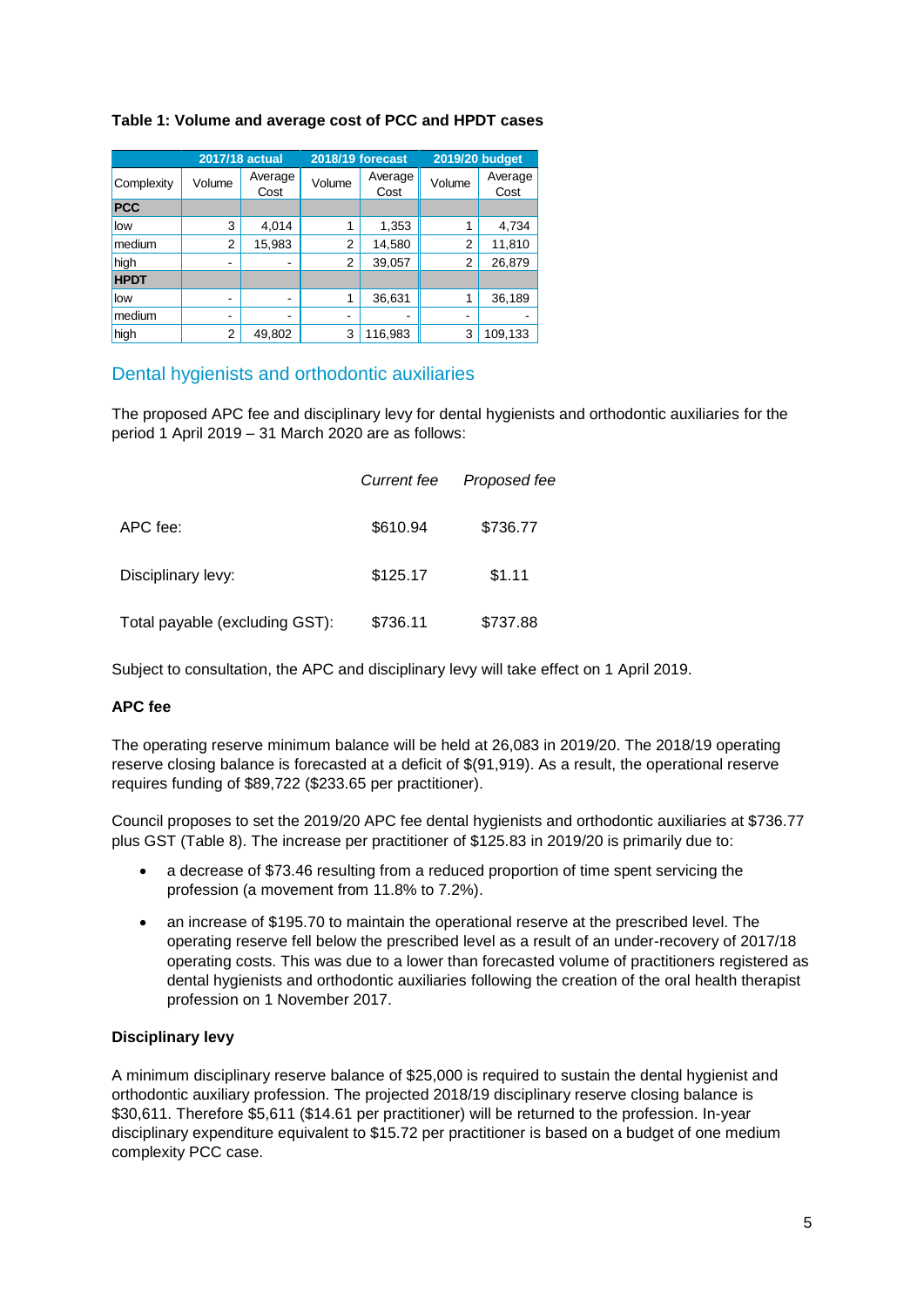#### **Table 1: Volume and average cost of PCC and HPDT cases**

|             | 2017/18 actual |                 |        | 2018/19 forecast |        | 2019/20 budget  |
|-------------|----------------|-----------------|--------|------------------|--------|-----------------|
| Complexity  | Volume         | Average<br>Cost | Volume | Average<br>Cost  | Volume | Average<br>Cost |
| <b>PCC</b>  |                |                 |        |                  |        |                 |
| low         | 3              | 4,014           |        | 1,353            |        | 4,734           |
| medium      | 2              | 15,983          | 2      | 14,580           | 2      | 11,810          |
| high        |                |                 | 2      | 39,057           | 2      | 26,879          |
| <b>HPDT</b> |                |                 |        |                  |        |                 |
| low         |                |                 |        | 36,631           | 1      | 36,189          |
| medium      | -              | -               | -      |                  | -      |                 |
| high        | 2              | 49,802          | 3      | 116,983          | 3      | 109,133         |

### Dental hygienists and orthodontic auxiliaries

The proposed APC fee and disciplinary levy for dental hygienists and orthodontic auxiliaries for the period 1 April 2019 – 31 March 2020 are as follows:

|                                | <b>Current fee</b> | Proposed fee |
|--------------------------------|--------------------|--------------|
| APC fee:                       | \$610.94           | \$736.77     |
| Disciplinary levy:             | \$125.17           | \$1.11       |
| Total payable (excluding GST): | \$736.11           | \$737.88     |

Subject to consultation, the APC and disciplinary levy will take effect on 1 April 2019.

#### **APC fee**

The operating reserve minimum balance will be held at 26,083 in 2019/20. The 2018/19 operating reserve closing balance is forecasted at a deficit of \$(91,919). As a result, the operational reserve requires funding of \$89,722 (\$233.65 per practitioner).

Council proposes to set the 2019/20 APC fee dental hygienists and orthodontic auxiliaries at \$736.77 plus GST (Table 8). The increase per practitioner of \$125.83 in 2019/20 is primarily due to:

- a decrease of \$73.46 resulting from a reduced proportion of time spent servicing the profession (a movement from 11.8% to 7.2%).
- an increase of \$195.70 to maintain the operational reserve at the prescribed level. The operating reserve fell below the prescribed level as a result of an under-recovery of 2017/18 operating costs. This was due to a lower than forecasted volume of practitioners registered as dental hygienists and orthodontic auxiliaries following the creation of the oral health therapist profession on 1 November 2017.

#### **Disciplinary levy**

A minimum disciplinary reserve balance of \$25,000 is required to sustain the dental hygienist and orthodontic auxiliary profession. The projected 2018/19 disciplinary reserve closing balance is \$30,611. Therefore \$5,611 (\$14.61 per practitioner) will be returned to the profession. In-year disciplinary expenditure equivalent to \$15.72 per practitioner is based on a budget of one medium complexity PCC case.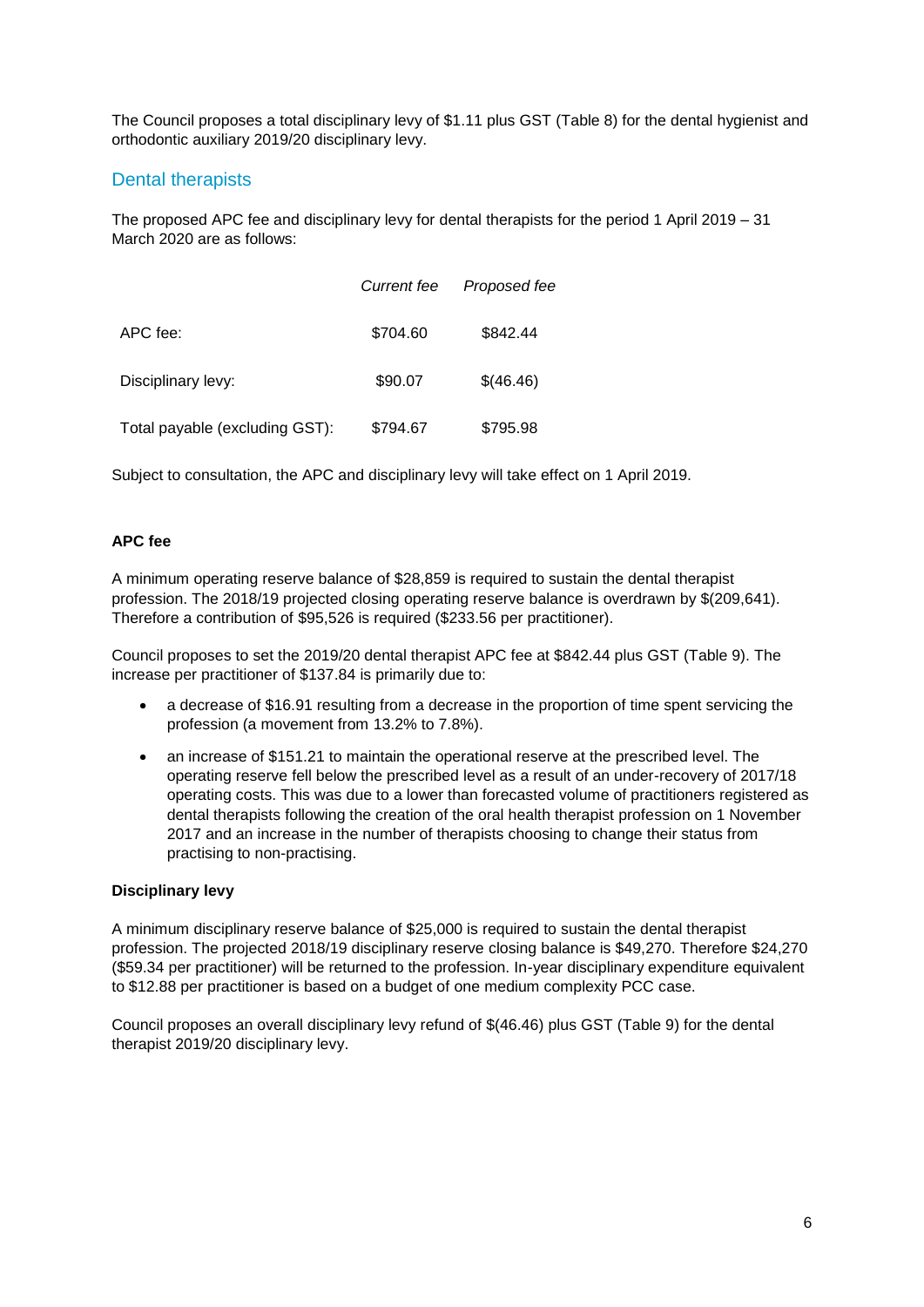The Council proposes a total disciplinary levy of \$1.11 plus GST (Table 8) for the dental hygienist and orthodontic auxiliary 2019/20 disciplinary levy.

### Dental therapists

The proposed APC fee and disciplinary levy for dental therapists for the period 1 April 2019 – 31 March 2020 are as follows:

|                                | <b>Current fee</b> | Proposed fee |
|--------------------------------|--------------------|--------------|
| APC fee:                       | \$704.60           | \$842.44     |
| Disciplinary levy:             | \$90.07            | \$(46.46)    |
| Total payable (excluding GST): | \$794.67           | \$795.98     |

Subject to consultation, the APC and disciplinary levy will take effect on 1 April 2019.

#### **APC fee**

A minimum operating reserve balance of \$28,859 is required to sustain the dental therapist profession. The 2018/19 projected closing operating reserve balance is overdrawn by \$(209,641). Therefore a contribution of \$95,526 is required (\$233.56 per practitioner).

Council proposes to set the 2019/20 dental therapist APC fee at \$842.44 plus GST (Table 9). The increase per practitioner of \$137.84 is primarily due to:

- a decrease of \$16.91 resulting from a decrease in the proportion of time spent servicing the profession (a movement from 13.2% to 7.8%).
- an increase of \$151.21 to maintain the operational reserve at the prescribed level. The operating reserve fell below the prescribed level as a result of an under-recovery of 2017/18 operating costs. This was due to a lower than forecasted volume of practitioners registered as dental therapists following the creation of the oral health therapist profession on 1 November 2017 and an increase in the number of therapists choosing to change their status from practising to non-practising.

#### **Disciplinary levy**

A minimum disciplinary reserve balance of \$25,000 is required to sustain the dental therapist profession. The projected 2018/19 disciplinary reserve closing balance is \$49,270. Therefore \$24,270 (\$59.34 per practitioner) will be returned to the profession. In-year disciplinary expenditure equivalent to \$12.88 per practitioner is based on a budget of one medium complexity PCC case.

Council proposes an overall disciplinary levy refund of \$(46.46) plus GST (Table 9) for the dental therapist 2019/20 disciplinary levy.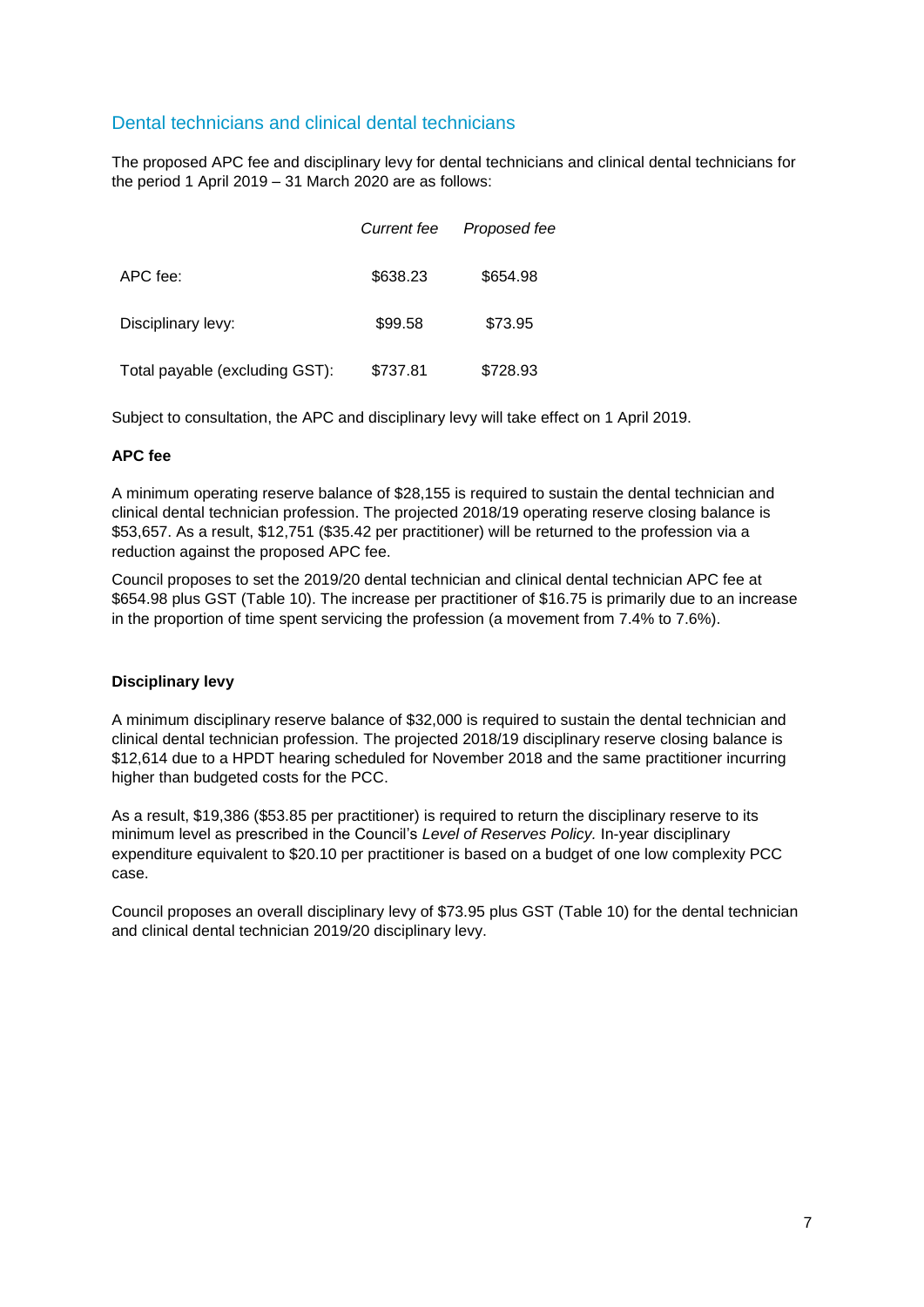### Dental technicians and clinical dental technicians

The proposed APC fee and disciplinary levy for dental technicians and clinical dental technicians for the period 1 April 2019 – 31 March 2020 are as follows:

|                                | <b>Current fee</b> | Proposed fee |
|--------------------------------|--------------------|--------------|
| APC fee:                       | \$638.23           | \$654.98     |
| Disciplinary levy:             | \$99.58            | \$73.95      |
| Total payable (excluding GST): | \$737.81           | \$728.93     |

Subject to consultation, the APC and disciplinary levy will take effect on 1 April 2019.

#### **APC fee**

A minimum operating reserve balance of \$28,155 is required to sustain the dental technician and clinical dental technician profession. The projected 2018/19 operating reserve closing balance is \$53,657. As a result, \$12,751 (\$35.42 per practitioner) will be returned to the profession via a reduction against the proposed APC fee.

Council proposes to set the 2019/20 dental technician and clinical dental technician APC fee at \$654.98 plus GST (Table 10). The increase per practitioner of \$16.75 is primarily due to an increase in the proportion of time spent servicing the profession (a movement from 7.4% to 7.6%).

#### **Disciplinary levy**

A minimum disciplinary reserve balance of \$32,000 is required to sustain the dental technician and clinical dental technician profession. The projected 2018/19 disciplinary reserve closing balance is \$12,614 due to a HPDT hearing scheduled for November 2018 and the same practitioner incurring higher than budgeted costs for the PCC.

As a result, \$19,386 (\$53.85 per practitioner) is required to return the disciplinary reserve to its minimum level as prescribed in the Council's *Level of Reserves Policy.* In-year disciplinary expenditure equivalent to \$20.10 per practitioner is based on a budget of one low complexity PCC case.

Council proposes an overall disciplinary levy of \$73.95 plus GST (Table 10) for the dental technician and clinical dental technician 2019/20 disciplinary levy.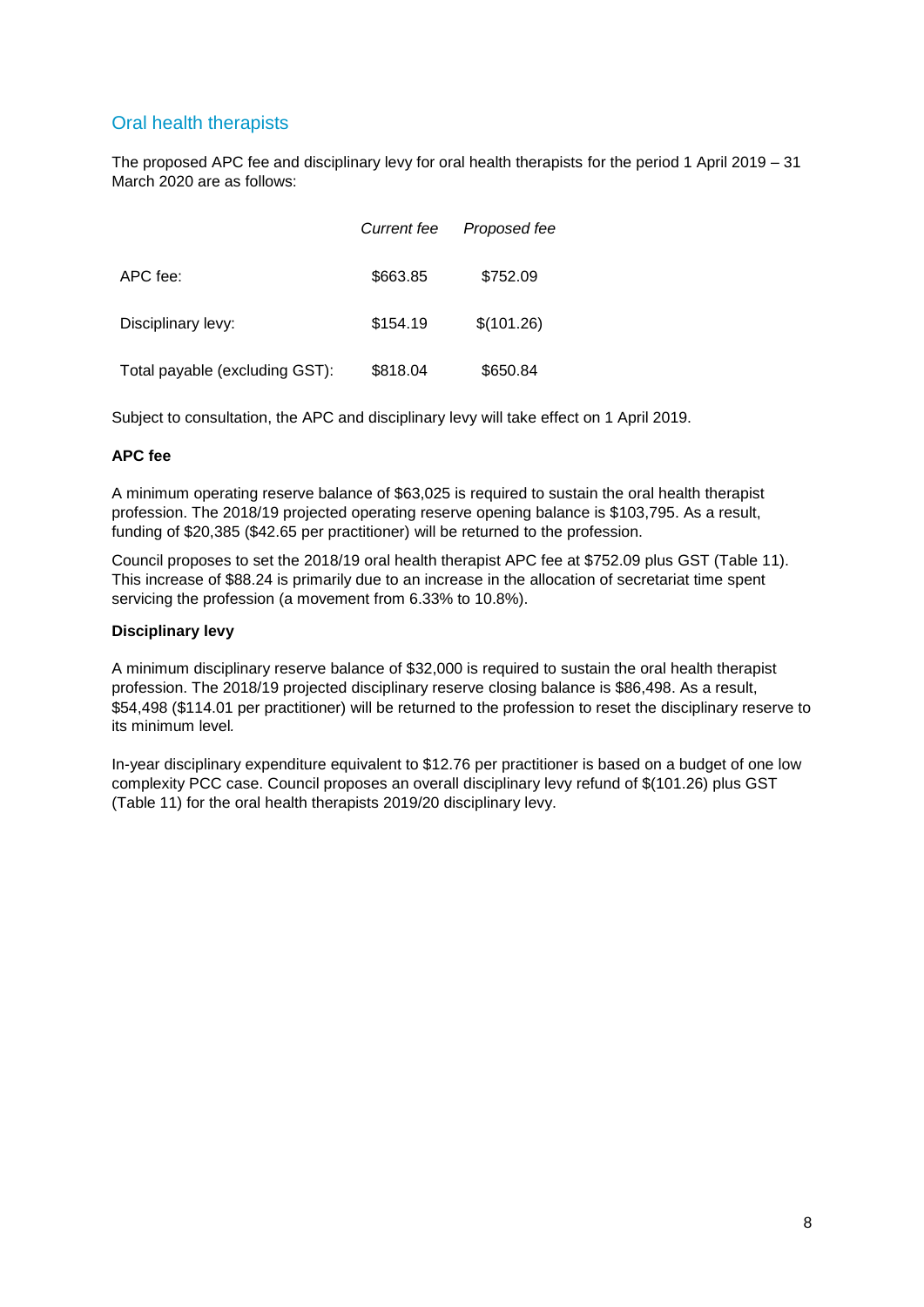### Oral health therapists

The proposed APC fee and disciplinary levy for oral health therapists for the period 1 April 2019 – 31 March 2020 are as follows:

|                                | Current fee | Proposed fee |
|--------------------------------|-------------|--------------|
| APC fee:                       | \$663.85    | \$752.09     |
| Disciplinary levy:             | \$154.19    | \$(101.26)   |
| Total payable (excluding GST): | \$818.04    | \$650.84     |

Subject to consultation, the APC and disciplinary levy will take effect on 1 April 2019.

#### **APC fee**

A minimum operating reserve balance of \$63,025 is required to sustain the oral health therapist profession. The 2018/19 projected operating reserve opening balance is \$103,795. As a result, funding of \$20,385 (\$42.65 per practitioner) will be returned to the profession.

Council proposes to set the 2018/19 oral health therapist APC fee at \$752.09 plus GST (Table 11). This increase of \$88.24 is primarily due to an increase in the allocation of secretariat time spent servicing the profession (a movement from 6.33% to 10.8%).

#### **Disciplinary levy**

A minimum disciplinary reserve balance of \$32,000 is required to sustain the oral health therapist profession. The 2018/19 projected disciplinary reserve closing balance is \$86,498. As a result, \$54,498 (\$114.01 per practitioner) will be returned to the profession to reset the disciplinary reserve to its minimum level*.*

In-year disciplinary expenditure equivalent to \$12.76 per practitioner is based on a budget of one low complexity PCC case. Council proposes an overall disciplinary levy refund of \$(101.26) plus GST (Table 11) for the oral health therapists 2019/20 disciplinary levy.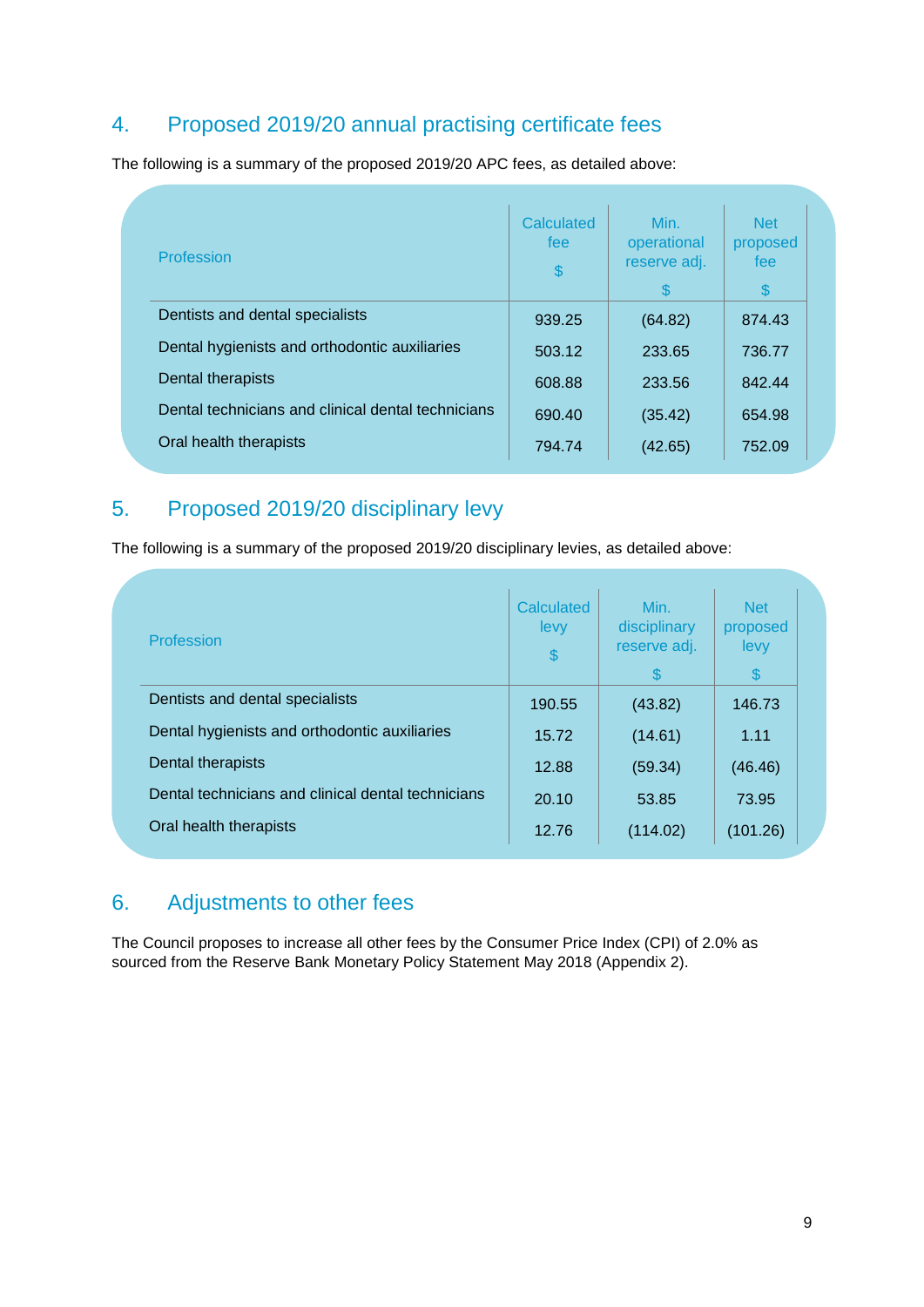# 4. Proposed 2019/20 annual practising certificate fees

The following is a summary of the proposed 2019/20 APC fees, as detailed above:

| Profession                                         | Calculated<br>fee<br>$\frac{1}{2}$ | Min.<br>operational<br>reserve adj.<br>\$ | <b>Net</b><br>proposed<br>fee<br>$\$\$ |  |
|----------------------------------------------------|------------------------------------|-------------------------------------------|----------------------------------------|--|
| Dentists and dental specialists                    | 939.25                             | (64.82)                                   | 874.43                                 |  |
| Dental hygienists and orthodontic auxiliaries      | 503.12                             | 233.65                                    | 736.77                                 |  |
| Dental therapists                                  | 608.88                             | 233.56                                    | 842.44                                 |  |
| Dental technicians and clinical dental technicians | 690.40                             | (35.42)                                   | 654.98                                 |  |
| Oral health therapists                             | 794.74                             | (42.65)                                   | 752.09                                 |  |

# 5. Proposed 2019/20 disciplinary levy

The following is a summary of the proposed 2019/20 disciplinary levies, as detailed above:

| Profession                                         | Calculated<br>levy<br>\$ | Min.<br>disciplinary<br>reserve adj.<br>\$ | <b>Net</b><br>proposed<br>levy<br>\$ |  |
|----------------------------------------------------|--------------------------|--------------------------------------------|--------------------------------------|--|
| Dentists and dental specialists                    | 190.55                   | (43.82)                                    | 146.73                               |  |
| Dental hygienists and orthodontic auxiliaries      | 15.72                    | (14.61)                                    | 1.11                                 |  |
| Dental therapists                                  | 12.88                    | (59.34)                                    | (46.46)                              |  |
| Dental technicians and clinical dental technicians | 20.10                    | 53.85                                      | 73.95                                |  |
| Oral health therapists                             | 12.76                    | (114.02)                                   | (101.26)                             |  |

# 6. Adjustments to other fees

The Council proposes to increase all other fees by the Consumer Price Index (CPI) of 2.0% as sourced from the Reserve Bank Monetary Policy Statement May 2018 (Appendix 2).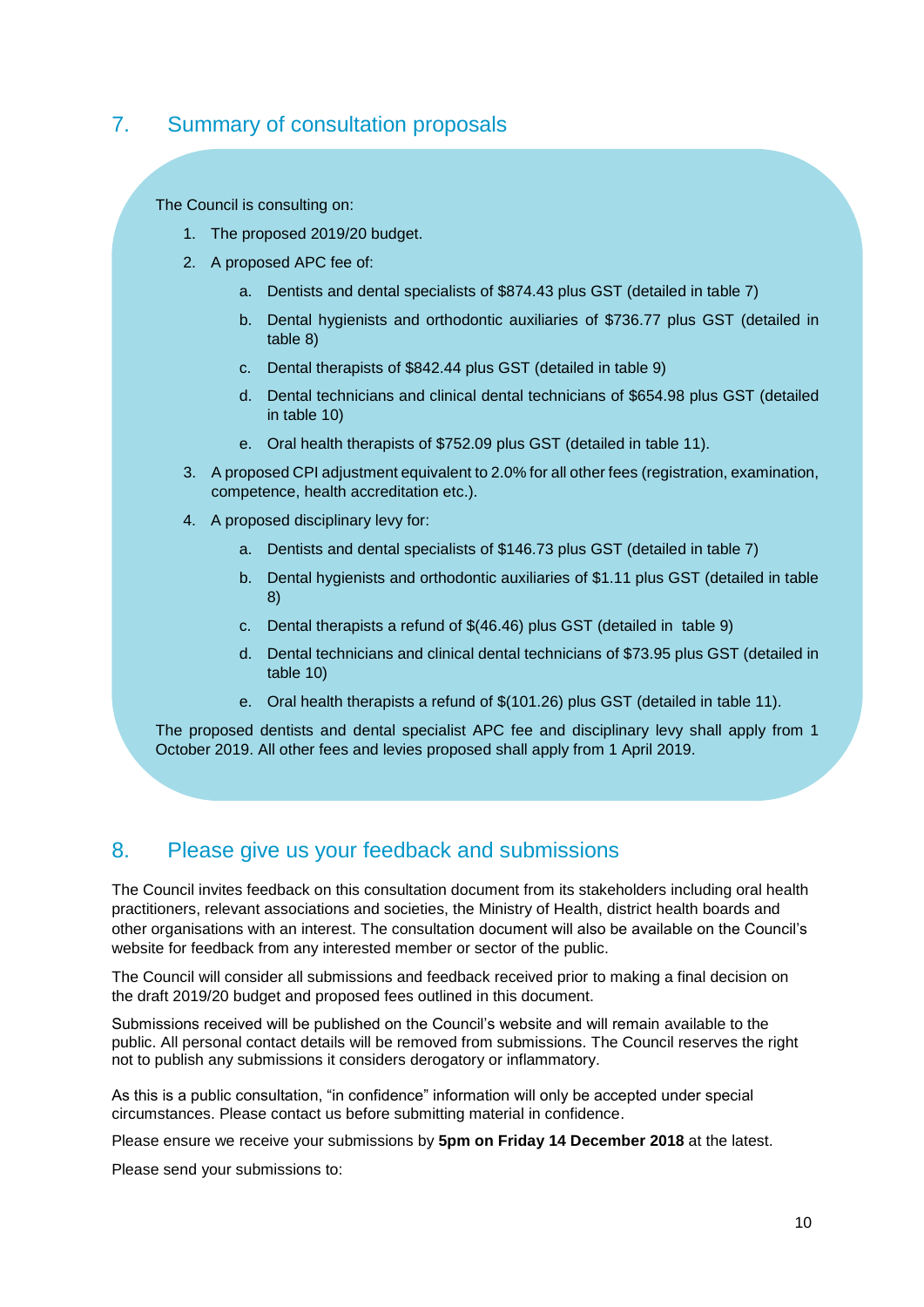### 7. Summary of consultation proposals

The Council is consulting on:

- 1. The proposed 2019/20 budget.
- 2. A proposed APC fee of:
	- a. Dentists and dental specialists of \$874.43 plus GST (detailed in table 7)
	- b. Dental hygienists and orthodontic auxiliaries of \$736.77 plus GST (detailed in table 8)
	- c. Dental therapists of \$842.44 plus GST (detailed in table 9)
	- d. Dental technicians and clinical dental technicians of \$654.98 plus GST (detailed in table 10)
	- e. Oral health therapists of \$752.09 plus GST (detailed in table 11).
- 3. A proposed CPI adjustment equivalent to 2.0% for all other fees (registration, examination, competence, health accreditation etc.).
- 4. A proposed disciplinary levy for:
	- a. Dentists and dental specialists of \$146.73 plus GST (detailed in table 7)
	- b. Dental hygienists and orthodontic auxiliaries of \$1.11 plus GST (detailed in table 8)
	- c. Dental therapists a refund of \$(46.46) plus GST (detailed in table 9)
	- d. Dental technicians and clinical dental technicians of \$73.95 plus GST (detailed in table 10)
	- e. Oral health therapists a refund of \$(101.26) plus GST (detailed in table 11).

The proposed dentists and dental specialist APC fee and disciplinary levy shall apply from 1 October 2019. All other fees and levies proposed shall apply from 1 April 2019.

# 8. Please give us your feedback and submissions

The Council invites feedback on this consultation document from its stakeholders including oral health practitioners, relevant associations and societies, the Ministry of Health, district health boards and other organisations with an interest. The consultation document will also be available on the Council's website for feedback from any interested member or sector of the public.

The Council will consider all submissions and feedback received prior to making a final decision on the draft 2019/20 budget and proposed fees outlined in this document.

Submissions received will be published on the Council's website and will remain available to the public. All personal contact details will be removed from submissions. The Council reserves the right not to publish any submissions it considers derogatory or inflammatory.

As this is a public consultation, "in confidence" information will only be accepted under special circumstances. Please contact us before submitting material in confidence.

Please ensure we receive your submissions by **5pm on Friday 14 December 2018** at the latest.

Please send your submissions to: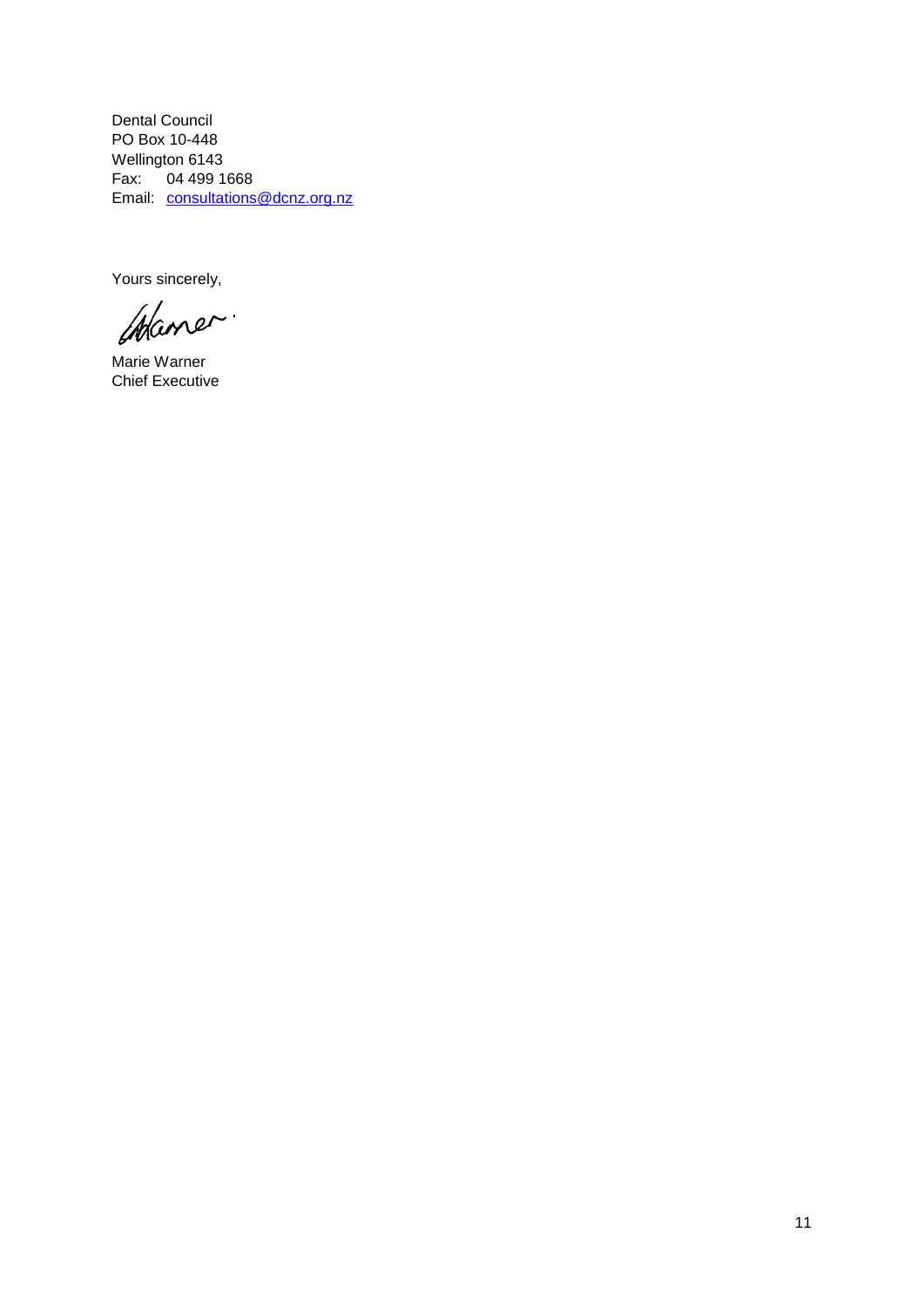Dental Council PO Box 10-448 Wellington 6143 Fax: 04 499 1668 Email: [consultations@dcnz.org.nz](mailto:consultations@dcnz.org.nz)

Yours sincerely,

Chaner.

Marie Warner Chief Executive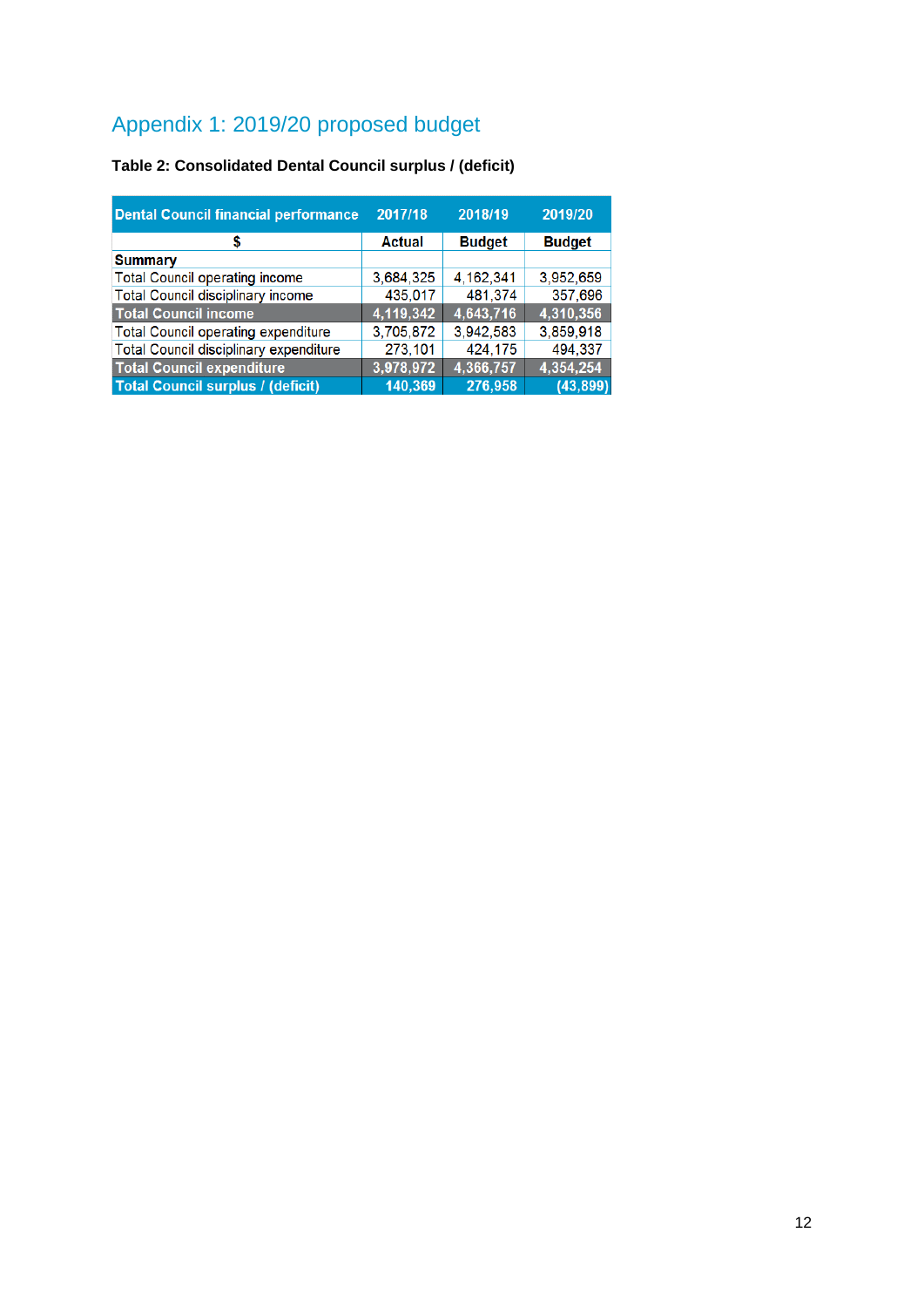# Appendix 1: 2019/20 proposed budget

# **Table 2: Consolidated Dental Council surplus / (deficit)**

| <b>Dental Council financial performance</b> | 2017/18       | 2018/19       | 2019/20       |
|---------------------------------------------|---------------|---------------|---------------|
| \$                                          | <b>Actual</b> | <b>Budget</b> | <b>Budget</b> |
| <b>Summary</b>                              |               |               |               |
| <b>Total Council operating income</b>       | 3.684.325     | 4.162.341     | 3,952,659     |
| <b>Total Council disciplinary income</b>    | 435,017       | 481,374       | 357,696       |
| <b>Total Council income</b>                 | 4,119,342     | 4,643,716     | 4,310,356     |
| <b>Total Council operating expenditure</b>  | 3,705,872     | 3,942,583     | 3,859,918     |
| Total Council disciplinary expenditure      | 273,101       | 424,175       | 494,337       |
| <b>Total Council expenditure</b>            | 3,978,972     | 4,366,757     | 4,354,254     |
| <b>Total Council surplus / (deficit)</b>    | 140,369       | 276,958       | (43, 899)     |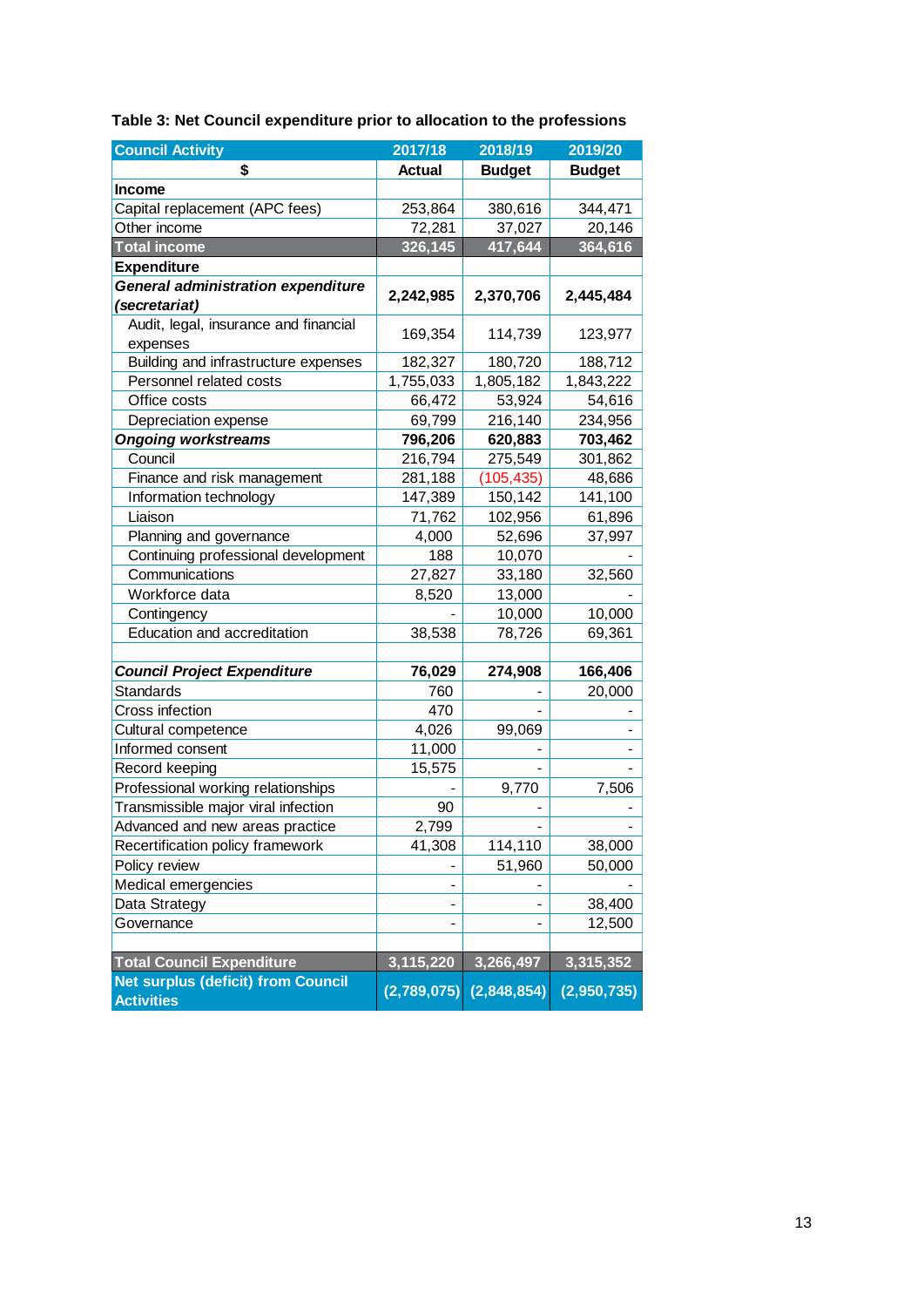| <b>Council Activity</b>                                        | 2017/18       | 2018/19       | 2019/20       |  |
|----------------------------------------------------------------|---------------|---------------|---------------|--|
| \$                                                             | <b>Actual</b> | <b>Budget</b> | <b>Budget</b> |  |
| <b>Income</b>                                                  |               |               |               |  |
| Capital replacement (APC fees)                                 | 253,864       | 380,616       | 344,471       |  |
| Other income                                                   | 72,281        | 37,027        | 20,146        |  |
| <b>Total income</b>                                            | 326,145       | 417,644       | 364,616       |  |
| <b>Expenditure</b>                                             |               |               |               |  |
| General administration expenditure                             |               |               |               |  |
| (secretariat)                                                  | 2,242,985     | 2,370,706     | 2,445,484     |  |
| Audit, legal, insurance and financial                          | 169,354       | 114,739       |               |  |
| expenses                                                       |               |               | 123,977       |  |
| Building and infrastructure expenses                           | 182,327       | 180,720       | 188,712       |  |
| Personnel related costs                                        | 1,755,033     | 1,805,182     | 1,843,222     |  |
| Office costs                                                   | 66,472        | 53,924        | 54,616        |  |
| Depreciation expense                                           | 69,799        | 216,140       | 234,956       |  |
| <b>Ongoing workstreams</b>                                     | 796,206       | 620,883       | 703,462       |  |
| Council                                                        | 216,794       | 275,549       | 301,862       |  |
| Finance and risk management                                    | 281,188       | (105, 435)    | 48,686        |  |
| Information technology                                         | 147,389       | 150,142       | 141,100       |  |
| Liaison                                                        | 71,762        | 102,956       | 61,896        |  |
| Planning and governance                                        | 4,000         | 52,696        | 37,997        |  |
| Continuing professional development                            | 188           | 10,070        |               |  |
| Communications                                                 | 27,827        | 33,180        | 32,560        |  |
| Workforce data                                                 | 8,520         | 13,000        |               |  |
| Contingency                                                    |               | 10,000        | 10,000        |  |
| Education and accreditation                                    | 38,538        | 78,726        | 69,361        |  |
|                                                                |               |               |               |  |
| <b>Council Project Expenditure</b>                             | 76,029        | 274,908       | 166,406       |  |
| <b>Standards</b>                                               | 760           |               | 20,000        |  |
| Cross infection                                                | 470           |               |               |  |
| Cultural competence                                            | 4,026         | 99,069        |               |  |
| Informed consent                                               | 11,000        |               |               |  |
| Record keeping                                                 | 15,575        |               |               |  |
| Professional working relationships                             |               | 9,770         | 7,506         |  |
| Transmissible major viral infection                            | 90            |               |               |  |
| Advanced and new areas practice                                | 2,799         |               |               |  |
| Recertification policy framework                               | 41,308        | 114,110       | 38,000        |  |
| Policy review                                                  |               | 51,960        | 50,000        |  |
| Medical emergencies                                            |               |               |               |  |
| Data Strategy                                                  |               |               | 38,400        |  |
| Governance                                                     |               |               | 12,500        |  |
|                                                                |               |               |               |  |
| <b>Total Council Expenditure</b>                               | 3,115,220     | 3,266,497     | 3,315,352     |  |
| <b>Net surplus (deficit) from Council</b><br><b>Activities</b> | (2,789,075)   | (2,848,854)   | (2,950,735)   |  |

**Table 3: Net Council expenditure prior to allocation to the professions**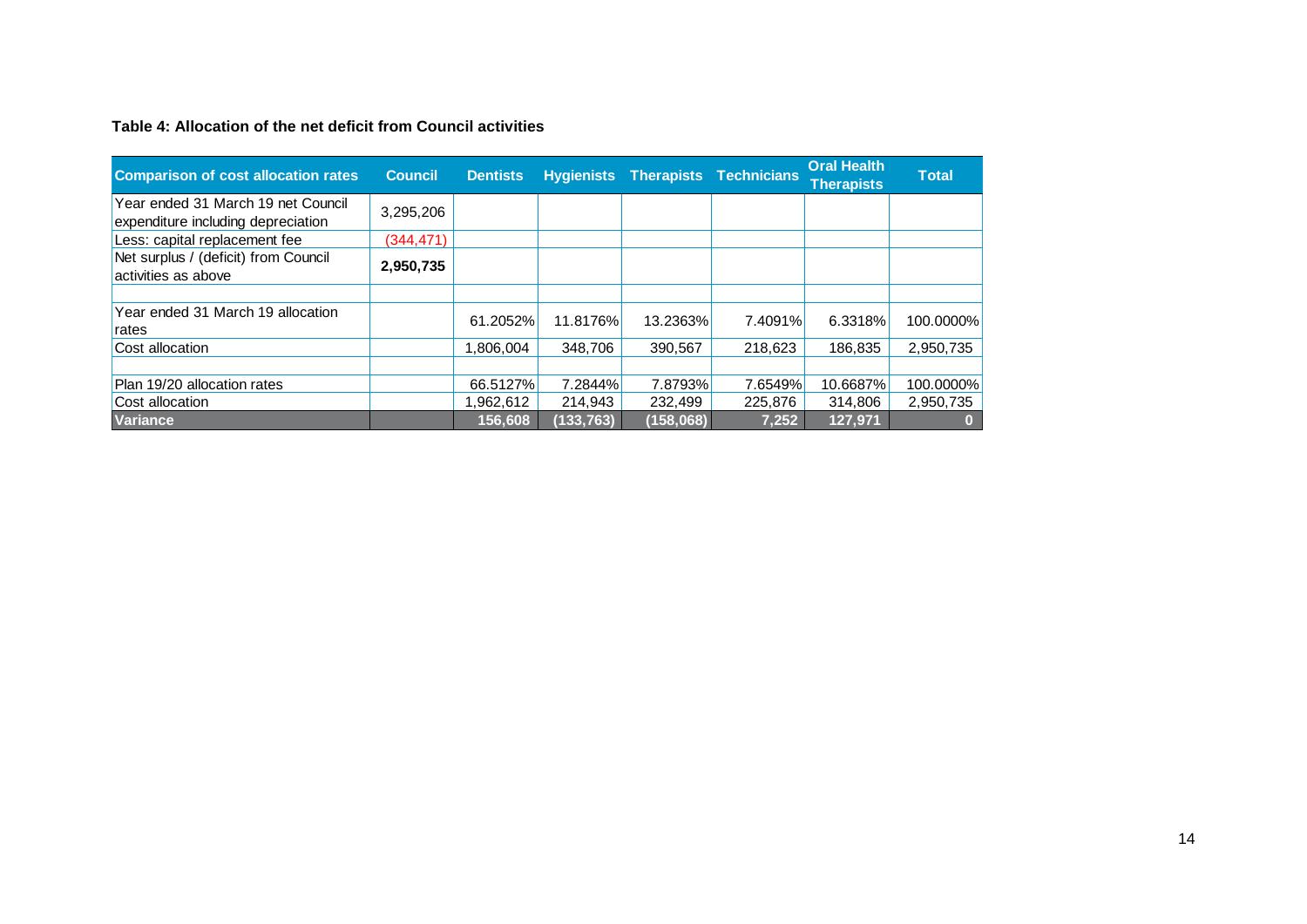**Table 4: Allocation of the net deficit from Council activities**

| <b>Comparison of cost allocation rates</b>                               | Council.   | <b>Dentists</b> |            |           | <b>Hygienists Therapists Technicians</b> | <b>Oral Health</b><br><b>Therapists</b> | <b>Total</b> |
|--------------------------------------------------------------------------|------------|-----------------|------------|-----------|------------------------------------------|-----------------------------------------|--------------|
| Year ended 31 March 19 net Council<br>expenditure including depreciation | 3,295,206  |                 |            |           |                                          |                                         |              |
| Less: capital replacement fee                                            | (344, 471) |                 |            |           |                                          |                                         |              |
| Net surplus / (deficit) from Council<br>activities as above              | 2,950,735  |                 |            |           |                                          |                                         |              |
|                                                                          |            |                 |            |           |                                          |                                         |              |
| Year ended 31 March 19 allocation<br>rates                               |            | 61.2052%        | 11.8176%   | 13.2363%  | 7.4091%                                  | 6.3318%                                 | 100.0000%    |
| Cost allocation                                                          |            | 1.806.004       | 348.706    | 390.567   | 218.623                                  | 186.835                                 | 2.950.735    |
|                                                                          |            |                 |            |           |                                          |                                         |              |
| Plan 19/20 allocation rates                                              |            | 66.5127%        | 7.2844%    | 7.8793%   | 7.6549%                                  | 10.6687%                                | 100.0000%    |
| Cost allocation                                                          |            | 1.962.612       | 214.943    | 232.499   | 225,876                                  | 314.806                                 | 2.950.735    |
| <b>Variance</b>                                                          |            | 156.608         | (133, 763) | (158,068) | 7,252                                    | 127.971                                 |              |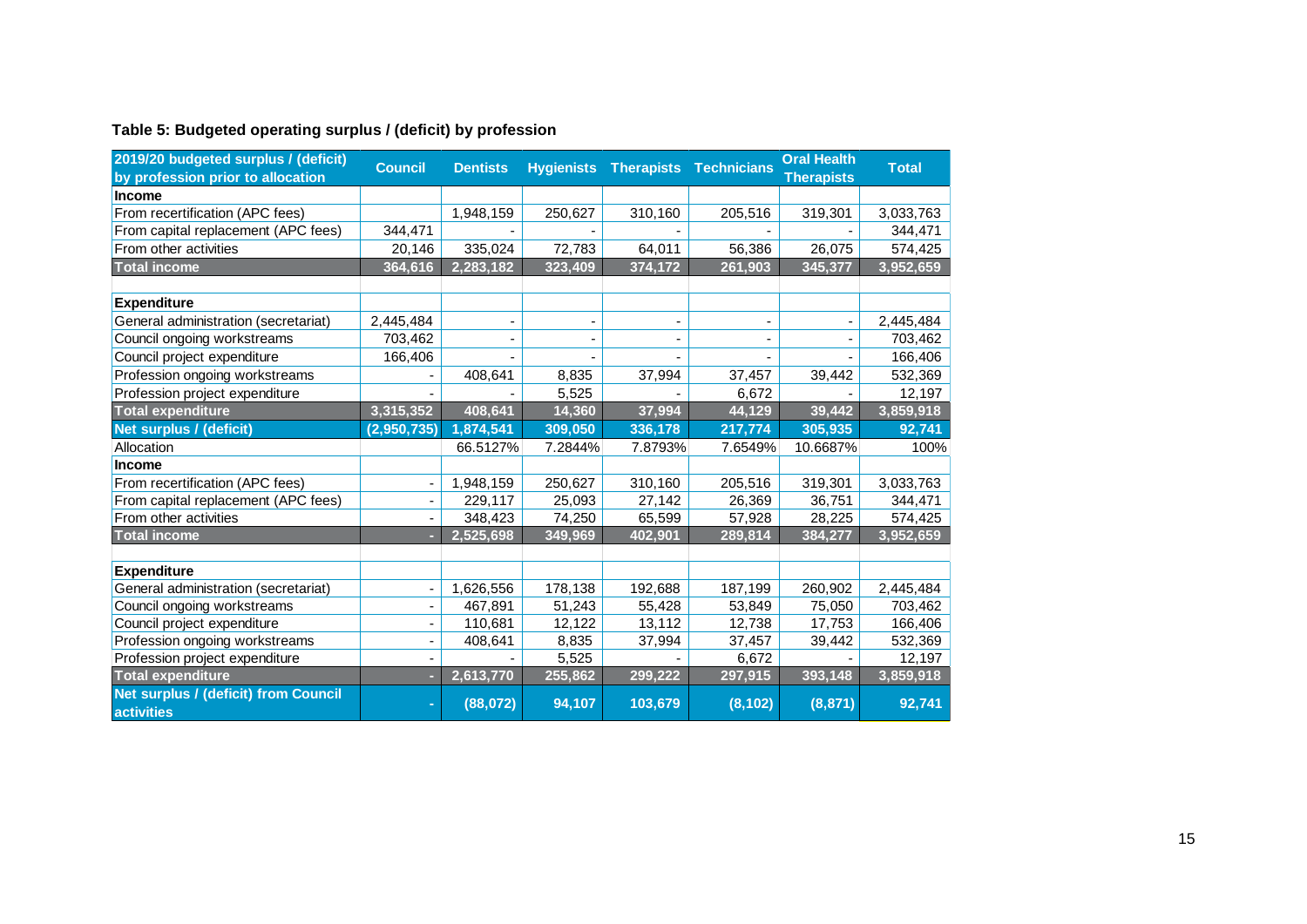| 2019/20 budgeted surplus / (deficit)<br>by profession prior to allocation | <b>Council</b>           | <b>Dentists</b> | <b>Hygienists</b> | <b>Therapists</b> | <b>Technicians</b> | <b>Oral Health</b><br><b>Therapists</b> | <b>Total</b> |
|---------------------------------------------------------------------------|--------------------------|-----------------|-------------------|-------------------|--------------------|-----------------------------------------|--------------|
| <b>Income</b>                                                             |                          |                 |                   |                   |                    |                                         |              |
| From recertification (APC fees)                                           |                          | 1,948,159       | 250,627           | 310,160           | 205,516            | 319,301                                 | 3,033,763    |
| From capital replacement (APC fees)                                       | 344,471                  |                 |                   |                   |                    |                                         | 344,471      |
| From other activities                                                     | 20,146                   | 335,024         | 72,783            | 64,011            | 56,386             | 26,075                                  | 574,425      |
| <b>Total income</b>                                                       | 364,616                  | 2,283,182       | 323,409           | 374, 172          | 261,903            | 345,377                                 | 3,952,659    |
|                                                                           |                          |                 |                   |                   |                    |                                         |              |
| <b>Expenditure</b>                                                        |                          |                 |                   |                   |                    |                                         |              |
| General administration (secretariat)                                      | 2,445,484                |                 |                   |                   |                    |                                         | 2,445,484    |
| Council ongoing workstreams                                               | 703,462                  |                 |                   |                   |                    |                                         | 703,462      |
| Council project expenditure                                               | 166,406                  |                 |                   |                   |                    |                                         | 166,406      |
| Profession ongoing workstreams                                            |                          | 408,641         | 8,835             | 37,994            | 37,457             | 39,442                                  | 532,369      |
| Profession project expenditure                                            |                          |                 | 5,525             |                   | 6,672              |                                         | 12,197       |
| <b>Total expenditure</b>                                                  | 3,315,352                | 408,641         | 14,360            | 37,994            | 44,129             | 39,442                                  | 3,859,918    |
| Net surplus / (deficit)                                                   | (2,950,735)              | 1,874,541       | 309,050           | 336,178           | 217,774            | 305,935                                 | 92,741       |
| Allocation                                                                |                          | 66.5127%        | 7.2844%           | 7.8793%           | 7.6549%            | 10.6687%                                | 100%         |
| <b>Income</b>                                                             |                          |                 |                   |                   |                    |                                         |              |
| From recertification (APC fees)                                           |                          | 1,948,159       | 250,627           | 310,160           | 205,516            | 319,301                                 | 3,033,763    |
| From capital replacement (APC fees)                                       |                          | 229,117         | 25,093            | 27,142            | 26,369             | 36,751                                  | 344,471      |
| From other activities                                                     |                          | 348,423         | 74,250            | 65,599            | 57,928             | 28.225                                  | 574,425      |
| <b>Total income</b>                                                       |                          | 2,525,698       | 349,969           | 402,901           | 289,814            | 384,277                                 | 3,952,659    |
|                                                                           |                          |                 |                   |                   |                    |                                         |              |
| <b>Expenditure</b>                                                        |                          |                 |                   |                   |                    |                                         |              |
| General administration (secretariat)                                      | $\overline{\phantom{a}}$ | 1,626,556       | 178,138           | 192,688           | 187,199            | 260,902                                 | 2,445,484    |
| Council ongoing workstreams                                               |                          | 467,891         | 51,243            | 55,428            | 53,849             | 75,050                                  | 703,462      |
| Council project expenditure                                               | $\overline{\phantom{a}}$ | 110,681         | 12,122            | 13,112            | 12,738             | 17,753                                  | 166,406      |
| Profession ongoing workstreams                                            |                          | 408,641         | 8,835             | 37,994            | 37,457             | 39,442                                  | 532,369      |
| Profession project expenditure                                            |                          |                 | 5,525             |                   | 6,672              |                                         | 12,197       |
| <b>Total expenditure</b>                                                  |                          | 2,613,770       | 255,862           | 299,222           | 297,915            | 393,148                                 | 3,859,918    |
| Net surplus / (deficit) from Council<br><b>activities</b>                 |                          | (88,072)        | 94,107            | 103,679           | (8, 102)           | (8, 871)                                | 92,741       |

# **Table 5: Budgeted operating surplus / (deficit) by profession**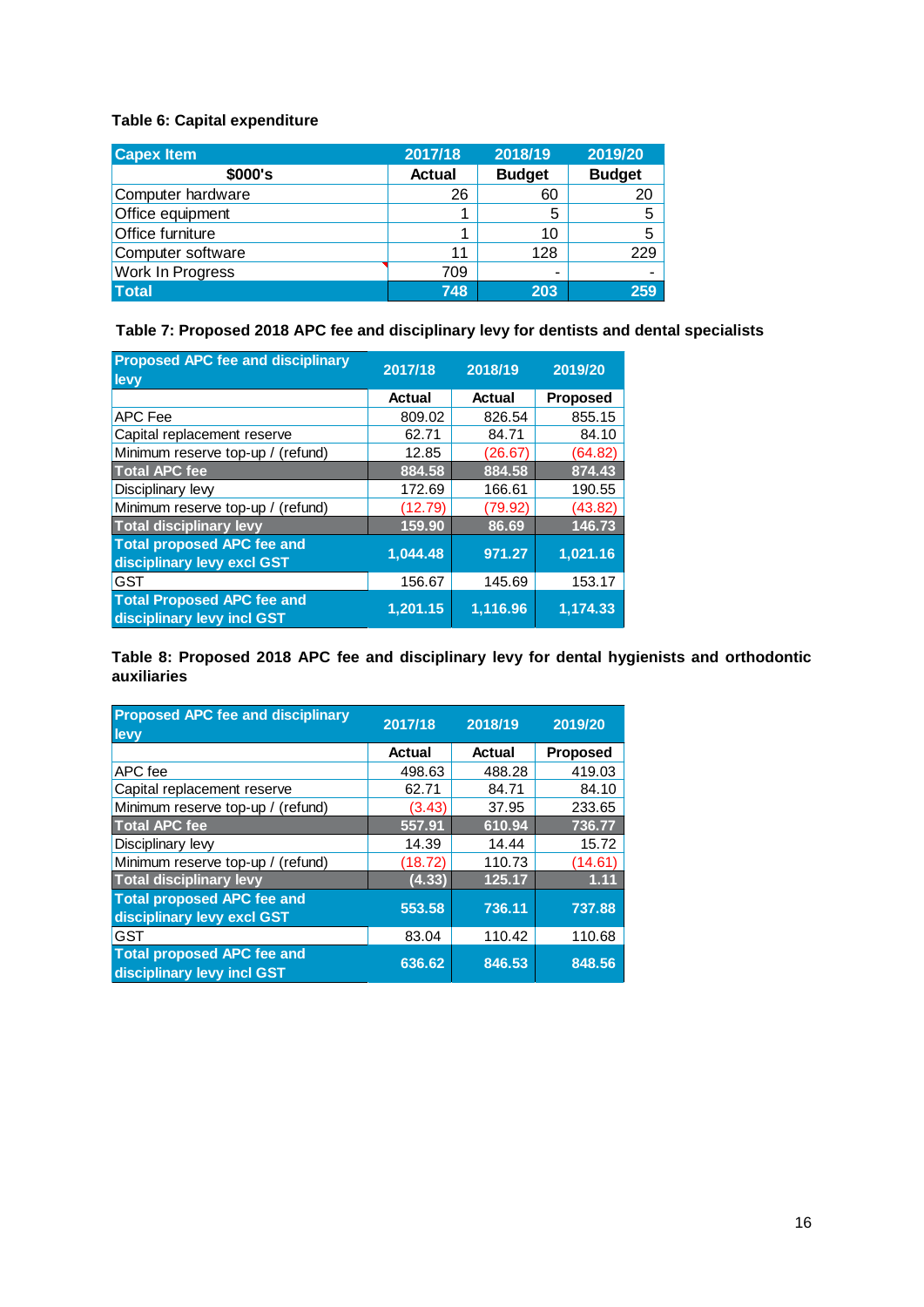#### **Table 6: Capital expenditure**

| <b>Capex Item</b>       | 2017/18       | 2018/19       | 2019/20                  |
|-------------------------|---------------|---------------|--------------------------|
| \$000's                 | <b>Actual</b> | <b>Budget</b> | <b>Budget</b>            |
| Computer hardware       | 26            | 60            | 20                       |
| Office equipment        |               | 5             | 5                        |
| Office furniture        |               | 10            | 5                        |
| Computer software       | 11            | 128           | 229                      |
| <b>Work In Progress</b> | 709           | -             | $\overline{\phantom{0}}$ |
| <b>Total</b>            | 748           | 203           | 259                      |

**Table 7: Proposed 2018 APC fee and disciplinary levy for dentists and dental specialists**

| <b>Proposed APC fee and disciplinary</b><br>levy                | 2017/18       | 2018/19       | 2019/20         |
|-----------------------------------------------------------------|---------------|---------------|-----------------|
|                                                                 | <b>Actual</b> | <b>Actual</b> | <b>Proposed</b> |
| APC Fee                                                         | 809.02        | 826.54        | 855.15          |
| Capital replacement reserve                                     | 62.71         | 84.71         | 84.10           |
| Minimum reserve top-up / (refund)                               | 12.85         | (26.67)       | (64.82)         |
| <b>Total APC fee</b>                                            | 884.58        | 884.58        | 874.43          |
| Disciplinary levy                                               | 172.69        | 166.61        | 190.55          |
| Minimum reserve top-up / (refund)                               | (12.79)       | (79.92)       | (43.82)         |
| <b>Total disciplinary levy</b>                                  | 159.90        | 86.69         | 146.73          |
| <b>Total proposed APC fee and</b><br>disciplinary levy excl GST | 1.044.48      | 971.27        | 1,021.16        |
| <b>GST</b>                                                      | 156.67        | 145.69        | 153.17          |
| <b>Total Proposed APC fee and</b><br>disciplinary levy incl GST | 1,201.15      | 1,116.96      | 1,174.33        |

**Table 8: Proposed 2018 APC fee and disciplinary levy for dental hygienists and orthodontic auxiliaries**

| <b>Proposed APC fee and disciplinary</b><br><b>levy</b>         | 2017/18       | 2018/19       | 2019/20         |
|-----------------------------------------------------------------|---------------|---------------|-----------------|
|                                                                 | <b>Actual</b> | <b>Actual</b> | <b>Proposed</b> |
| APC fee                                                         | 498.63        | 488.28        | 419.03          |
| Capital replacement reserve                                     | 62.71         | 84.71         | 84.10           |
| Minimum reserve top-up / (refund)                               | (3.43)        | 37.95         | 233.65          |
| <b>Total APC fee</b>                                            | 557.91        | 610.94        | 736.77          |
| Disciplinary levy                                               | 14.39         | 14.44         | 15.72           |
| Minimum reserve top-up / (refund)                               | (18.72)       | 110.73        | (14.61)         |
| <b>Total disciplinary levy</b>                                  | (4.33)        | 125.17        | 1.11            |
| <b>Total proposed APC fee and</b><br>disciplinary levy excl GST | 553.58        | 736.11        | 737.88          |
| <b>GST</b>                                                      | 83.04         | 110.42        | 110.68          |
| <b>Total proposed APC fee and</b><br>disciplinary levy incl GST | 636.62        | 846.53        | 848.56          |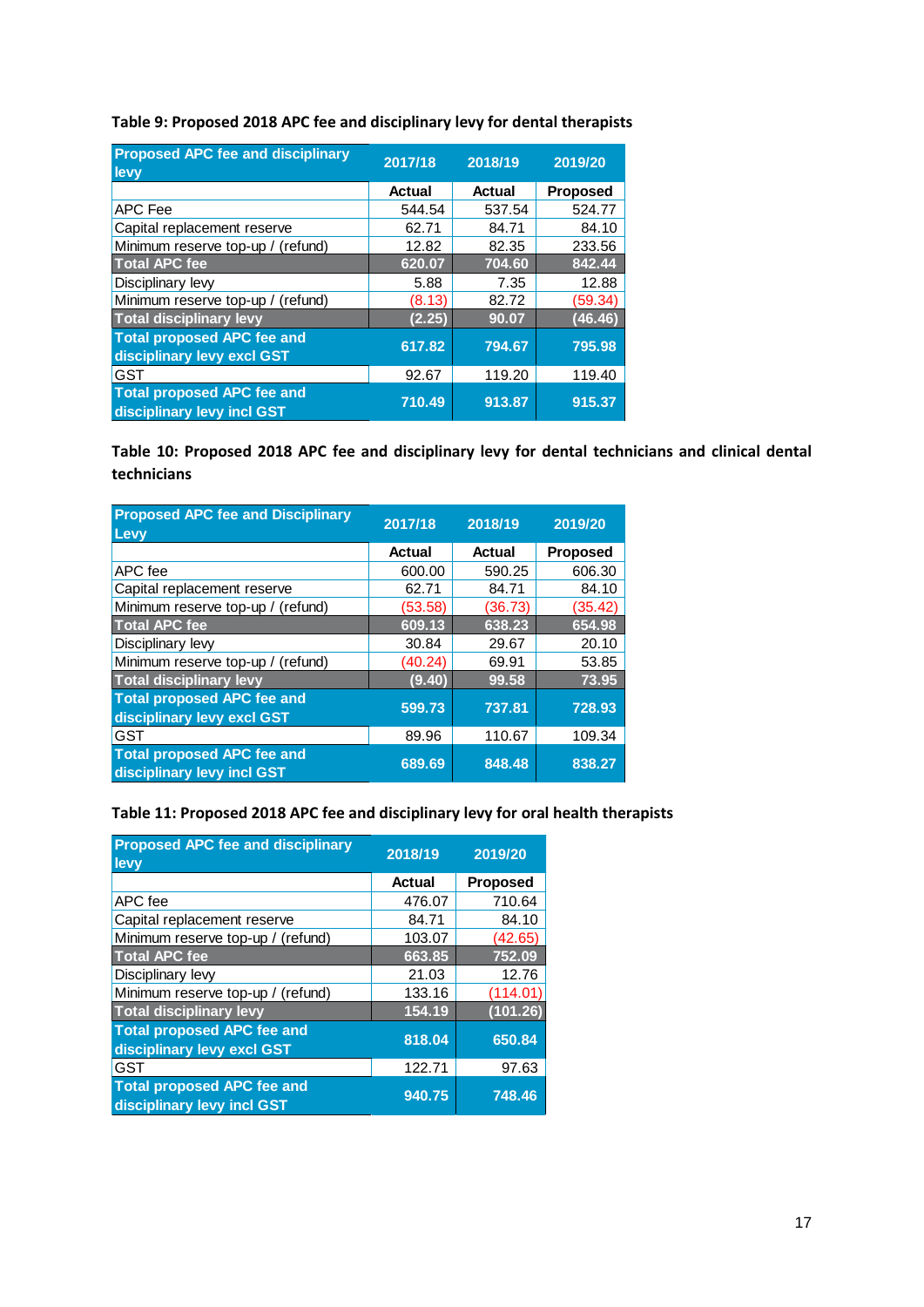| <b>Proposed APC fee and disciplinary</b><br>levy                | 2017/18 | 2018/19 | 2019/20         |
|-----------------------------------------------------------------|---------|---------|-----------------|
|                                                                 | Actual  | Actual  | <b>Proposed</b> |
| APC Fee                                                         | 544.54  | 537.54  | 524.77          |
| Capital replacement reserve                                     | 62.71   | 84.71   | 84.10           |
| Minimum reserve top-up / (refund)                               | 12.82   | 82.35   | 233.56          |
| <b>Total APC fee</b>                                            | 620.07  | 704.60  | 842.44          |
| Disciplinary levy                                               | 5.88    | 7.35    | 12.88           |
| Minimum reserve top-up / (refund)                               | (8.13)  | 82.72   | (59.34)         |
| <b>Total disciplinary levy</b>                                  | (2.25)  | 90.07   | (46.46)         |
| <b>Total proposed APC fee and</b><br>disciplinary levy excl GST | 617.82  | 794.67  | 795.98          |
| GST                                                             | 92.67   | 119.20  | 119.40          |
| <b>Total proposed APC fee and</b><br>disciplinary levy incl GST | 710.49  | 913.87  | 915.37          |

**Table 9: Proposed 2018 APC fee and disciplinary levy for dental therapists**

**Table 10: Proposed 2018 APC fee and disciplinary levy for dental technicians and clinical dental technicians**

| <b>Proposed APC fee and Disciplinary</b><br>Levy                | 2017/18 | 2018/19 | 2019/20         |
|-----------------------------------------------------------------|---------|---------|-----------------|
|                                                                 | Actual  | Actual  | <b>Proposed</b> |
| APC fee                                                         | 600.00  | 590.25  | 606.30          |
| Capital replacement reserve                                     | 62.71   | 84.71   | 84.10           |
| Minimum reserve top-up / (refund)                               | (53.58) | (36.73) | (35.42)         |
| <b>Total APC fee</b>                                            | 609.13  | 638.23  | 654.98          |
| Disciplinary levy                                               | 30.84   | 29.67   | 20.10           |
| Minimum reserve top-up / (refund)                               | (40.24) | 69.91   | 53.85           |
| <b>Total disciplinary levy</b>                                  | (9.40)  | 99.58   | 73.95           |
| <b>Total proposed APC fee and</b><br>disciplinary levy excl GST | 599.73  | 737.81  | 728.93          |
| <b>GST</b>                                                      | 89.96   | 110.67  | 109.34          |
| <b>Total proposed APC fee and</b><br>disciplinary levy incl GST | 689.69  | 848.48  | 838.27          |

#### **Table 11: Proposed 2018 APC fee and disciplinary levy for oral health therapists**

| <b>Proposed APC fee and disciplinary</b><br>levy                | 2018/19       | 2019/20         |
|-----------------------------------------------------------------|---------------|-----------------|
|                                                                 | <b>Actual</b> | <b>Proposed</b> |
| APC fee                                                         | 476.07        | 710.64          |
| Capital replacement reserve                                     | 84.71         | 84.10           |
| Minimum reserve top-up / (refund)                               | 103.07        | (42.65)         |
| <b>Total APC fee</b>                                            | 663.85        | 752.09          |
| Disciplinary levy                                               | 21.03         | 12.76           |
| Minimum reserve top-up / (refund)                               | 133.16        | (114.01)        |
| <b>Total disciplinary levy</b>                                  | 154.19        | (101.26)        |
| <b>Total proposed APC fee and</b><br>disciplinary levy excl GST | 818.04        | 650.84          |
| <b>GST</b>                                                      | 122.71        | 97.63           |
| <b>Total proposed APC fee and</b><br>disciplinary levy incl GST | 940.75        | 748.46          |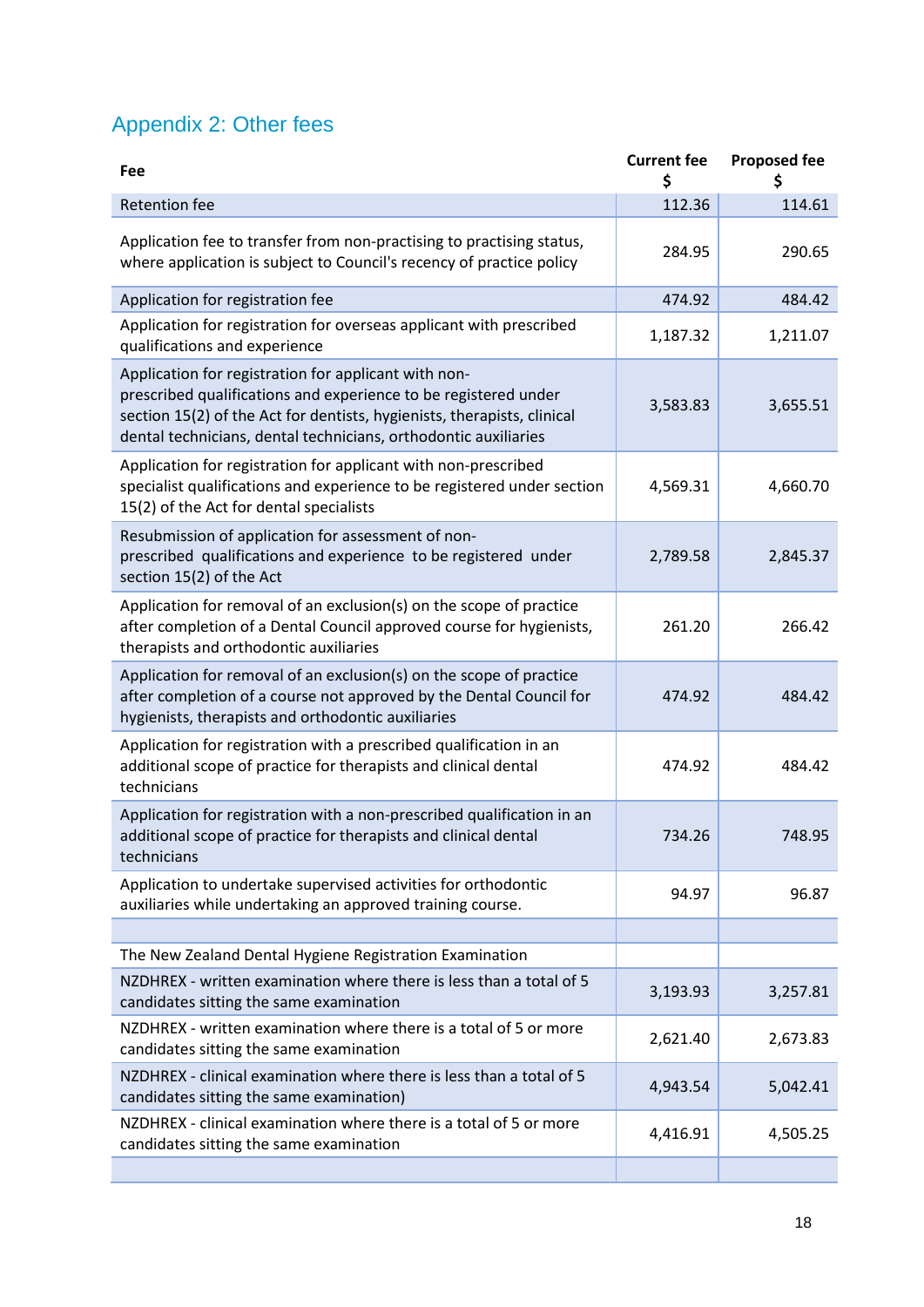# Appendix 2: Other fees

| Fee                                                                                                                                                                                                                                                                   | <b>Current fee</b><br>\$ | <b>Proposed fee</b><br>S |
|-----------------------------------------------------------------------------------------------------------------------------------------------------------------------------------------------------------------------------------------------------------------------|--------------------------|--------------------------|
| <b>Retention fee</b>                                                                                                                                                                                                                                                  | 112.36                   | 114.61                   |
| Application fee to transfer from non-practising to practising status,<br>where application is subject to Council's recency of practice policy                                                                                                                         | 284.95                   | 290.65                   |
| Application for registration fee                                                                                                                                                                                                                                      | 474.92                   | 484.42                   |
| Application for registration for overseas applicant with prescribed<br>qualifications and experience                                                                                                                                                                  | 1,187.32                 | 1,211.07                 |
| Application for registration for applicant with non-<br>prescribed qualifications and experience to be registered under<br>section 15(2) of the Act for dentists, hygienists, therapists, clinical<br>dental technicians, dental technicians, orthodontic auxiliaries | 3,583.83                 | 3,655.51                 |
| Application for registration for applicant with non-prescribed<br>specialist qualifications and experience to be registered under section<br>15(2) of the Act for dental specialists                                                                                  | 4,569.31                 | 4,660.70                 |
| Resubmission of application for assessment of non-<br>prescribed qualifications and experience to be registered under<br>section 15(2) of the Act                                                                                                                     | 2,789.58                 | 2,845.37                 |
| Application for removal of an exclusion(s) on the scope of practice<br>after completion of a Dental Council approved course for hygienists,<br>therapists and orthodontic auxiliaries                                                                                 | 261.20                   | 266.42                   |
| Application for removal of an exclusion(s) on the scope of practice<br>after completion of a course not approved by the Dental Council for<br>hygienists, therapists and orthodontic auxiliaries                                                                      | 474.92                   | 484.42                   |
| Application for registration with a prescribed qualification in an<br>additional scope of practice for therapists and clinical dental<br>technicians                                                                                                                  | 474.92                   | 484.42                   |
| Application for registration with a non-prescribed qualification in an<br>additional scope of practice for therapists and clinical dental<br>technicians                                                                                                              | 734.26                   | 748.95                   |
| Application to undertake supervised activities for orthodontic<br>auxiliaries while undertaking an approved training course.                                                                                                                                          | 94.97                    | 96.87                    |
|                                                                                                                                                                                                                                                                       |                          |                          |
| The New Zealand Dental Hygiene Registration Examination                                                                                                                                                                                                               |                          |                          |
| NZDHREX - written examination where there is less than a total of 5<br>candidates sitting the same examination                                                                                                                                                        | 3,193.93                 | 3,257.81                 |
| NZDHREX - written examination where there is a total of 5 or more<br>candidates sitting the same examination                                                                                                                                                          | 2,621.40                 | 2,673.83                 |
| NZDHREX - clinical examination where there is less than a total of 5<br>candidates sitting the same examination)                                                                                                                                                      | 4,943.54                 | 5,042.41                 |
| NZDHREX - clinical examination where there is a total of 5 or more<br>candidates sitting the same examination                                                                                                                                                         | 4,416.91                 | 4,505.25                 |
|                                                                                                                                                                                                                                                                       |                          |                          |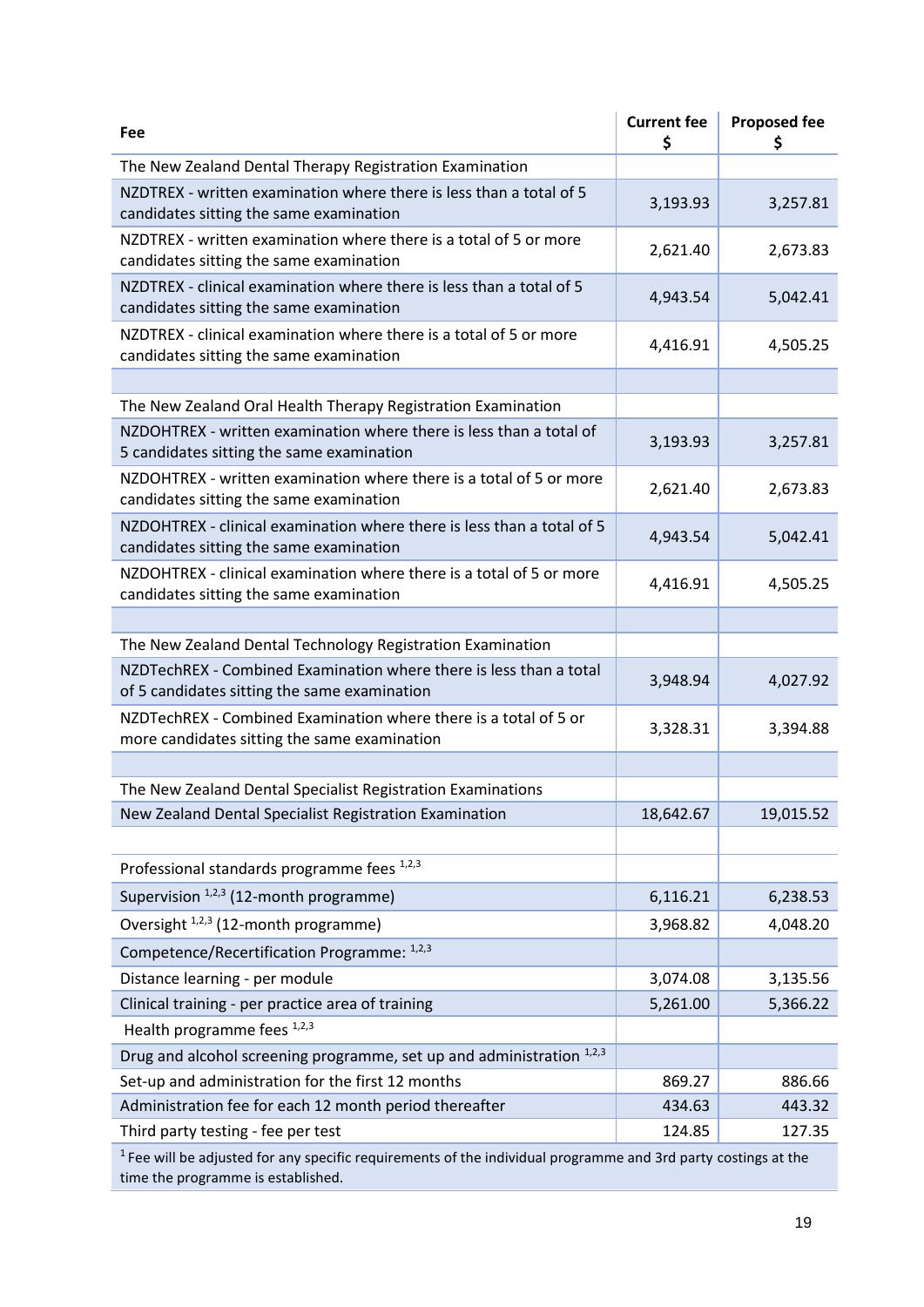| Fee                                                                                                                       | <b>Current fee</b><br>\$ | <b>Proposed fee</b><br>Ş |
|---------------------------------------------------------------------------------------------------------------------------|--------------------------|--------------------------|
| The New Zealand Dental Therapy Registration Examination                                                                   |                          |                          |
| NZDTREX - written examination where there is less than a total of 5<br>candidates sitting the same examination            | 3,193.93                 | 3,257.81                 |
| NZDTREX - written examination where there is a total of 5 or more<br>candidates sitting the same examination              | 2,621.40                 | 2,673.83                 |
| NZDTREX - clinical examination where there is less than a total of 5<br>candidates sitting the same examination           | 4,943.54                 | 5,042.41                 |
| NZDTREX - clinical examination where there is a total of 5 or more<br>candidates sitting the same examination             | 4,416.91                 | 4,505.25                 |
|                                                                                                                           |                          |                          |
| The New Zealand Oral Health Therapy Registration Examination                                                              |                          |                          |
| NZDOHTREX - written examination where there is less than a total of<br>5 candidates sitting the same examination          | 3,193.93                 | 3,257.81                 |
| NZDOHTREX - written examination where there is a total of 5 or more<br>candidates sitting the same examination            | 2,621.40                 | 2,673.83                 |
| NZDOHTREX - clinical examination where there is less than a total of 5<br>candidates sitting the same examination         | 4,943.54                 | 5,042.41                 |
| NZDOHTREX - clinical examination where there is a total of 5 or more<br>candidates sitting the same examination           | 4,416.91                 | 4,505.25                 |
|                                                                                                                           |                          |                          |
| The New Zealand Dental Technology Registration Examination                                                                |                          |                          |
| NZDTechREX - Combined Examination where there is less than a total<br>of 5 candidates sitting the same examination        | 3,948.94                 | 4,027.92                 |
| NZDTechREX - Combined Examination where there is a total of 5 or<br>more candidates sitting the same examination          | 3,328.31                 | 3,394.88                 |
|                                                                                                                           |                          |                          |
| The New Zealand Dental Specialist Registration Examinations                                                               |                          |                          |
| New Zealand Dental Specialist Registration Examination                                                                    | 18,642.67                | 19,015.52                |
|                                                                                                                           |                          |                          |
| Professional standards programme fees 1,2,3                                                                               |                          |                          |
| Supervision $1,2,3$ (12-month programme)                                                                                  | 6,116.21                 | 6,238.53                 |
| Oversight $1,2,3$ (12-month programme)                                                                                    | 3,968.82                 | 4,048.20                 |
| Competence/Recertification Programme: 1,2,3                                                                               |                          |                          |
| Distance learning - per module                                                                                            | 3,074.08                 | 3,135.56                 |
| Clinical training - per practice area of training                                                                         | 5,261.00                 | 5,366.22                 |
| Health programme fees $1,2,3$                                                                                             |                          |                          |
| Drug and alcohol screening programme, set up and administration 1,2,3                                                     |                          |                          |
| Set-up and administration for the first 12 months                                                                         | 869.27                   | 886.66                   |
| Administration fee for each 12 month period thereafter                                                                    | 434.63                   | 443.32                   |
| Third party testing - fee per test                                                                                        | 124.85                   | 127.35                   |
| <sup>1</sup> Fee will be adjusted for any specific requirements of the individual programme and 3rd party costings at the |                          |                          |

time the programme is established.